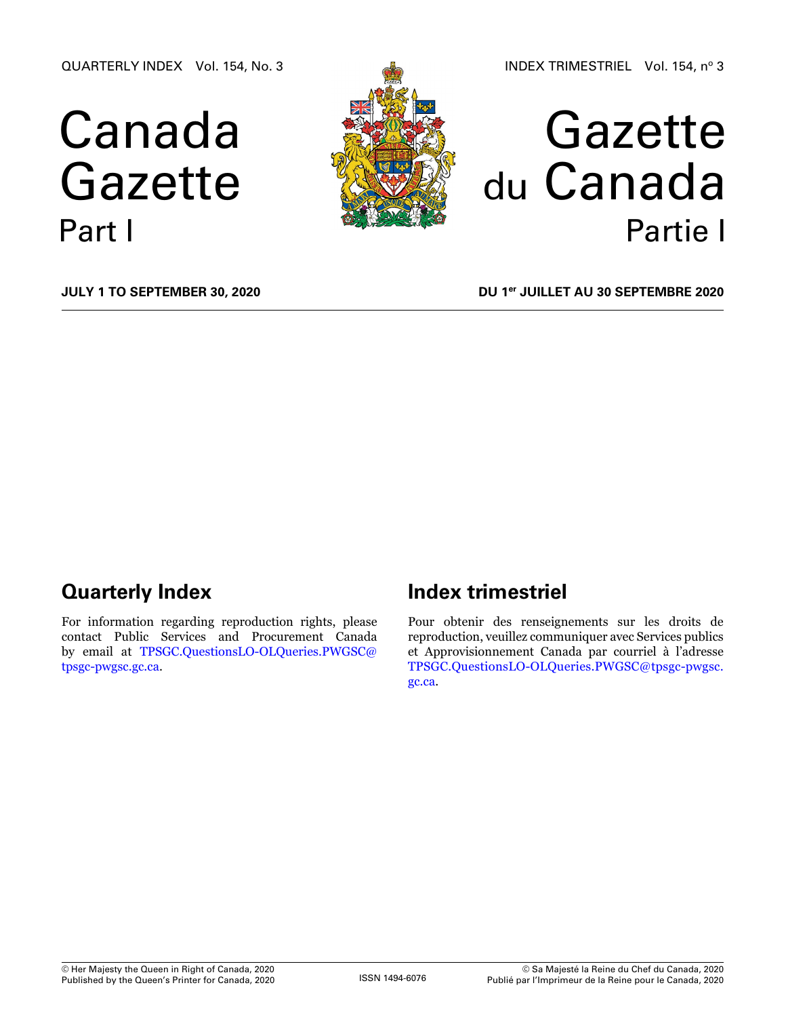QUARTERLY INDEX Vol. 154, No. 3

# Canada Gazette Part I



# Gazette du Canada Partie I

**July 1 to September 30, 2020**

**DU 1er juillet au 30 septembre 2020**

# **Quarterly Index**

For information regarding reproduction rights, please contact Public Services and Procurement Canada by email at [TPSGC.QuestionsLO-OLQueries.PWGSC@](mailto:TPSGC.QuestionsLO-OLQueries.PWGSC%40tpsgc-pwgsc.gc.ca?subject=) [tpsgc-pwgsc.gc.ca](mailto:TPSGC.QuestionsLO-OLQueries.PWGSC%40tpsgc-pwgsc.gc.ca?subject=).

# **Index trimestriel**

Pour obtenir des renseignements sur les droits de reproduction, veuillez communiquer avec Services publics et Approvisionnement Canada par courriel à l'adresse [TPSGC.QuestionsLO-OLQueries.PWGSC@tpsgc-pwgsc.](mailto:TPSGC.QuestionsLO-OLQueries.PWGSC%40tpsgc-pwgsc.gc.ca?subject=) [gc.ca](mailto:TPSGC.QuestionsLO-OLQueries.PWGSC%40tpsgc-pwgsc.gc.ca?subject=).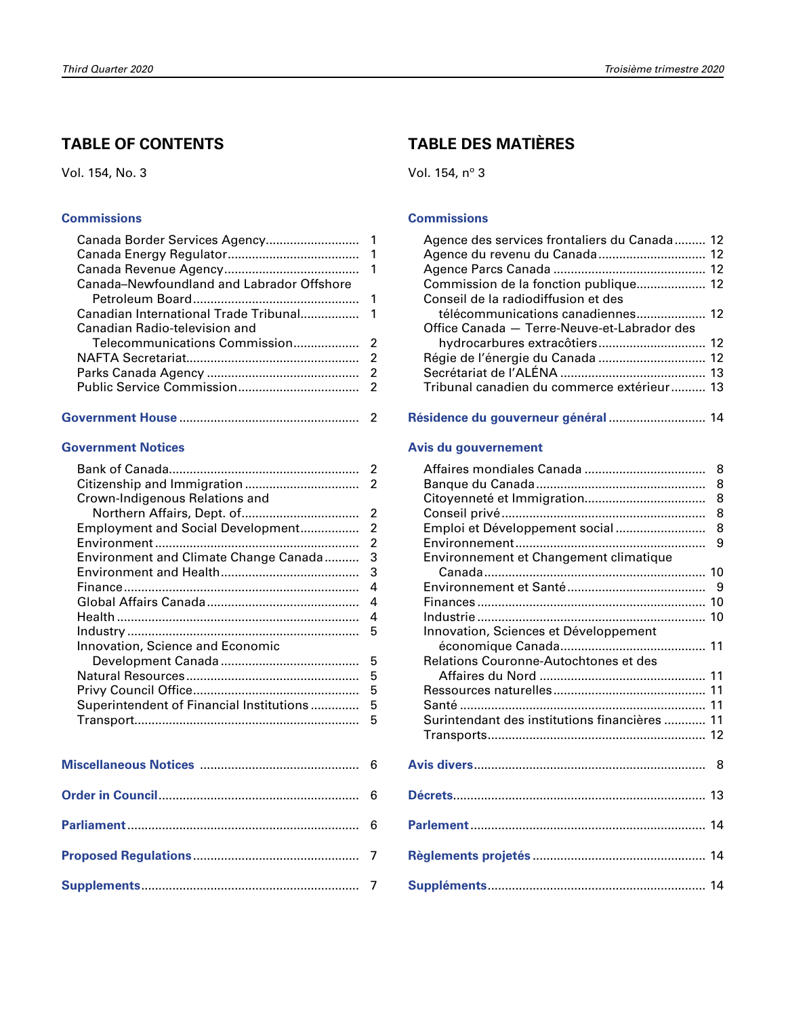# **TABLE OF CONTENTS**

Vol. 154, No. 3

#### **[Commissions](#page-2-0)**

| Canada-Newfoundland and Labrador Offshore |  |
|-------------------------------------------|--|
|                                           |  |
|                                           |  |
| Canadian Radio-television and             |  |
|                                           |  |
|                                           |  |
|                                           |  |
|                                           |  |
|                                           |  |

|--|--|

### **[Government Notices](#page-3-0)**

| Crown-Indigenous Relations and           |                |
|------------------------------------------|----------------|
|                                          | $\overline{2}$ |
| Employment and Social Development        | $\overline{2}$ |
|                                          | $\overline{2}$ |
| Environment and Climate Change Canada    | 3              |
|                                          | 3              |
|                                          | 4              |
|                                          | 4              |
|                                          | 4              |
|                                          | 5              |
| Innovation, Science and Economic         |                |
|                                          | 5              |
|                                          | 5              |
|                                          | 5              |
| Superintendent of Financial Institutions | 5              |
|                                          | 5              |
|                                          |                |
|                                          |                |
|                                          |                |
|                                          |                |
|                                          | 6              |
|                                          |                |

# **TABLE DES MATIÈRES**

Vol. 154, nº 3

#### **[Commissions](#page-13-0)**

| Agence des services frontaliers du Canada 12 |  |
|----------------------------------------------|--|
| Agence du revenu du Canada 12                |  |
|                                              |  |
| Commission de la fonction publique 12        |  |
| Conseil de la radiodiffusion et des          |  |
| télécommunications canadiennes 12            |  |
| Office Canada - Terre-Neuve-et-Labrador des  |  |
|                                              |  |
|                                              |  |
|                                              |  |
| Tribunal canadien du commerce extérieur 13   |  |
|                                              |  |

## **[Résidence du gouverneur général](#page-15-0)** ............................ 14

#### **[Avis du gouvernement](#page-9-0)**

|                                               | 8 |
|-----------------------------------------------|---|
|                                               | 8 |
|                                               | 8 |
|                                               | 8 |
| Emploi et Développement social                | 8 |
|                                               | 9 |
| Environnement et Changement climatique        |   |
|                                               |   |
|                                               |   |
|                                               |   |
|                                               |   |
| Innovation, Sciences et Développement         |   |
|                                               |   |
| Relations Couronne-Autochtones et des         |   |
|                                               |   |
|                                               |   |
|                                               |   |
| Surintendant des institutions financières  11 |   |
|                                               |   |
|                                               |   |
|                                               |   |
|                                               |   |
|                                               |   |
|                                               |   |
|                                               |   |
|                                               |   |
|                                               |   |
|                                               |   |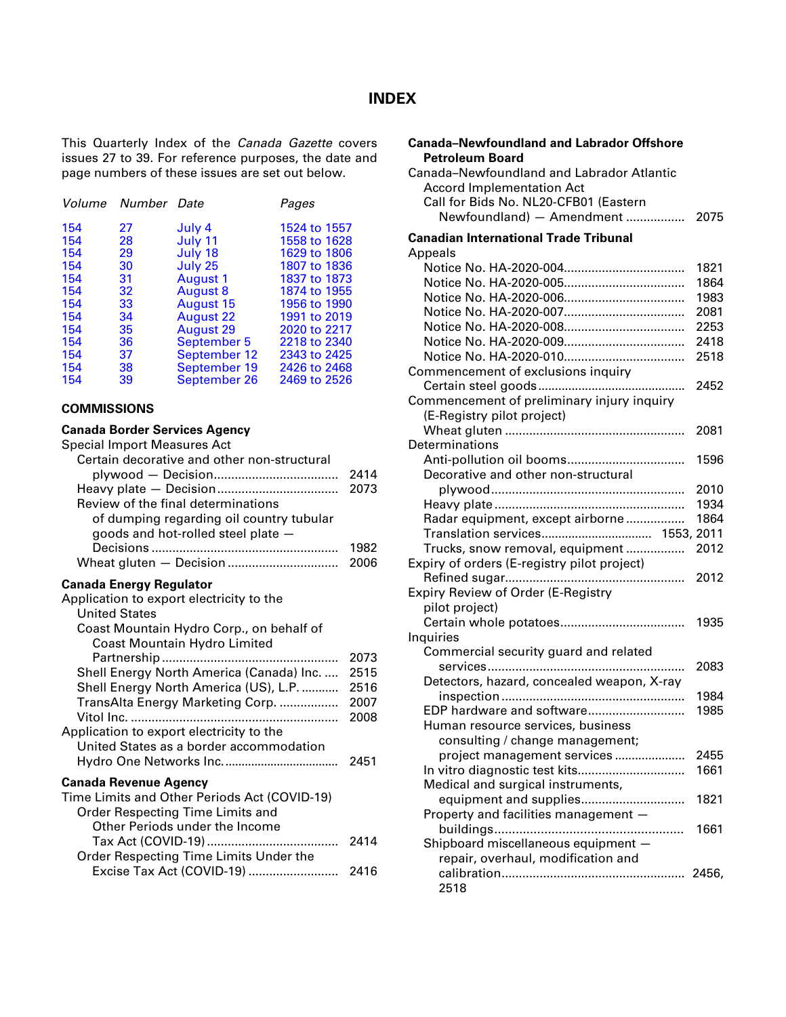# **INDEX**

<span id="page-2-0"></span>This Quarterly Index of the *Canada Gazette* covers issues 27 to 39. For reference purposes, the date and page numbers of these issues are set out below.

|     | Volume Number Date |                  | Pages        |
|-----|--------------------|------------------|--------------|
| 154 | 27                 | July 4           | 1524 to 1557 |
| 154 | 28                 | July 11          | 1558 to 1628 |
| 154 | 29                 | July 18          | 1629 to 1806 |
| 154 | 30                 | July 25          | 1807 to 1836 |
| 154 | 31                 | August 1         | 1837 to 1873 |
| 154 | 32                 | <b>August 8</b>  | 1874 to 1955 |
| 154 | 33                 | <b>August 15</b> | 1956 to 1990 |
| 154 | 34                 | <b>August 22</b> | 1991 to 2019 |
| 154 | 35                 | <b>August 29</b> | 2020 to 2217 |
| 154 | 36                 | September 5      | 2218 to 2340 |
| 154 | 37                 | September 12     | 2343 to 2425 |
| 154 | 38                 | September 19     | 2426 to 2468 |
| 154 | 39                 | September 26     | 2469 to 2526 |

#### **COMMISSIONS**

# **Canada Border Services Agency**

| Special Import Measures Act                 |      |
|---------------------------------------------|------|
| Certain decorative and other non-structural |      |
|                                             | 2414 |
|                                             | 2073 |
| Review of the final determinations          |      |
| of dumping regarding oil country tubular    |      |
| goods and hot-rolled steel plate -          |      |
|                                             | 1982 |
|                                             | 2006 |
| Canada Energy Regulator                     |      |
| Application to export electricity to the    |      |
| <b>United States</b>                        |      |
| Coast Mountain Hydro Corp., on behalf of    |      |
|                                             |      |

| <b>Coast Mountain Hydro Limited</b>          |      |
|----------------------------------------------|------|
|                                              | 2073 |
| Shell Energy North America (Canada) Inc.     | 2515 |
| Shell Energy North America (US), L.P.        | 2516 |
| TransAlta Energy Marketing Corp.             | 2007 |
|                                              | 2008 |
| Application to export electricity to the     |      |
| United States as a border accommodation      |      |
|                                              | 2451 |
| <b>Canada Revenue Agency</b>                 |      |
| Time Limits and Other Periods Act (COVID-19) |      |
| Order Respecting Time Limits and             |      |
| Other Periods under the Income               |      |
|                                              | 2414 |
| Order Respecting Time Limits Under the       |      |
| Excise Tax Act (COVID-19)                    | 2416 |

| <b>Canada-Newfoundland and Labrador Offshore</b> |      |
|--------------------------------------------------|------|
| <b>Petroleum Board</b>                           |      |
| Canada-Newfoundland and Labrador Atlantic        |      |
| <b>Accord Implementation Act</b>                 |      |
| Call for Bids No. NL20-CFB01 (Eastern            |      |
| Newfoundland) - Amendment                        | 2075 |
| <b>Canadian International Trade Tribunal</b>     |      |
| Appeals                                          |      |
|                                                  | 1821 |
|                                                  | 1864 |
|                                                  | 1983 |
|                                                  | 2081 |
|                                                  | 2253 |
|                                                  | 2418 |
|                                                  | 2518 |
| Commencement of exclusions inquiry               |      |
|                                                  | 2452 |
| Commencement of preliminary injury inquiry       |      |
| (E-Registry pilot project)                       |      |
|                                                  | 2081 |
| Determinations                                   |      |
|                                                  | 1596 |
| Decorative and other non-structural              |      |
|                                                  | 2010 |
|                                                  | 1934 |
| Radar equipment, except airborne                 | 1864 |
| Translation services 1553, 2011                  |      |
| Trucks, snow removal, equipment                  | 2012 |
| Expiry of orders (E-registry pilot project)      |      |
|                                                  | 2012 |
| <b>Expiry Review of Order (E-Registry</b>        |      |
| pilot project)                                   |      |
|                                                  | 1935 |
| Inquiries                                        |      |
| Commercial security guard and related            |      |
|                                                  | 2083 |
| Detectors, hazard, concealed weapon, X-ray       |      |
|                                                  | 1984 |
| EDP hardware and software                        | 1985 |
| Human resource services, business                |      |
| consulting / change management;                  |      |
| project management services                      | 2455 |
| In vitro diagnostic test kits                    | 1661 |
| Medical and surgical instruments,                |      |
| equipment and supplies                           | 1821 |
| Property and facilities management -             |      |
|                                                  | 1661 |
| Shipboard miscellaneous equipment -              |      |
| repair, overhaul, modification and               |      |
|                                                  |      |
| 2518                                             |      |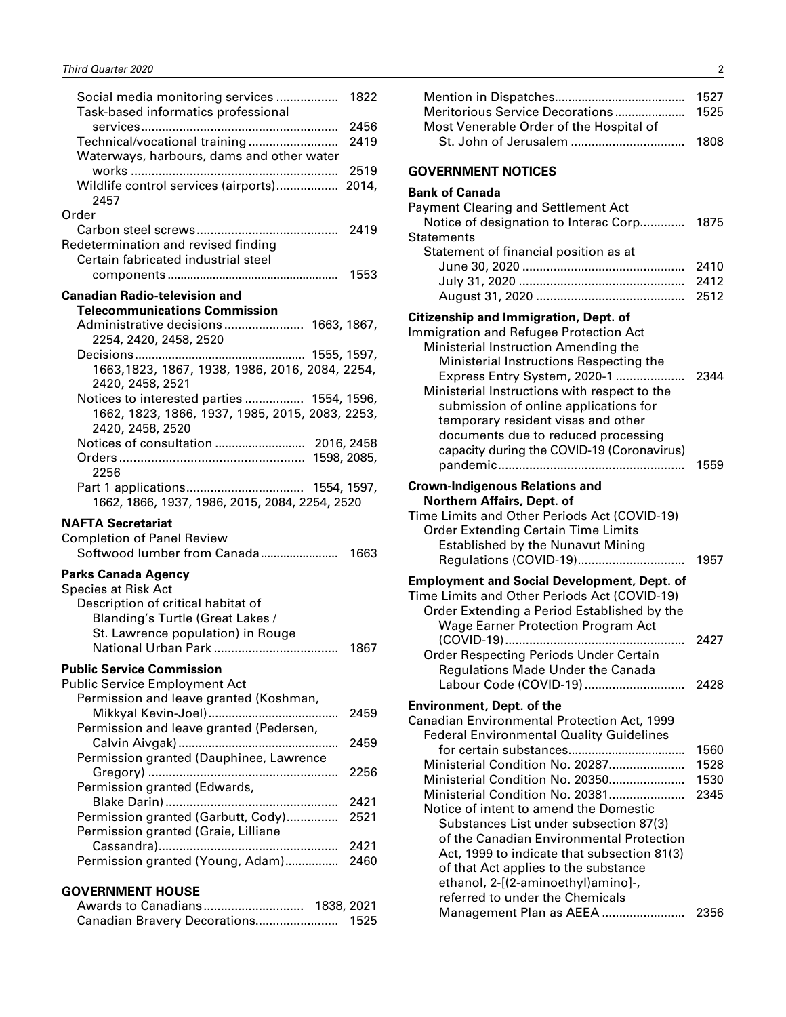<span id="page-3-0"></span>

| Social media monitoring services<br>Task-based informatics professional | 1822 |
|-------------------------------------------------------------------------|------|
|                                                                         | 2456 |
| Technical/vocational training                                           | 2419 |
| Waterways, harbours, dams and other water                               |      |
|                                                                         |      |
|                                                                         |      |
| Wildlife control services (airports) 2014,                              |      |
| 2457                                                                    |      |
| Order                                                                   |      |
|                                                                         |      |
|                                                                         | 2419 |
| Redetermination and revised finding                                     |      |
| Certain fabricated industrial steel                                     |      |
|                                                                         | 1553 |
|                                                                         |      |
| <b>Canadian Radio-television and</b>                                    |      |
| <b>Telecommunications Commission</b>                                    |      |
|                                                                         |      |
| Administrative decisions 1663, 1867,                                    |      |
| 2254, 2420, 2458, 2520                                                  |      |
|                                                                         |      |
| 1663, 1823, 1867, 1938, 1986, 2016, 2084, 2254,                         |      |
|                                                                         |      |
| 2420, 2458, 2521                                                        |      |
| Notices to interested parties  1554, 1596,                              |      |
| 1662, 1823, 1866, 1937, 1985, 2015, 2083, 2253,                         |      |
| 2420, 2458, 2520                                                        |      |
|                                                                         |      |
|                                                                         |      |
|                                                                         |      |
| 2256                                                                    |      |
|                                                                         |      |
|                                                                         |      |
|                                                                         |      |
| 1662, 1866, 1937, 1986, 2015, 2084, 2254, 2520                          |      |
|                                                                         |      |
| <b>NAFTA Secretariat</b>                                                |      |
| <b>Completion of Panel Review</b>                                       |      |
| Softwood lumber from Canada                                             | 1663 |
|                                                                         |      |
| Parks Canada Agency                                                     |      |
| <b>Species at Risk Act</b>                                              |      |
|                                                                         |      |
| Description of critical habitat of                                      |      |
| Blanding's Turtle (Great Lakes /                                        |      |
| St. Lawrence population) in Rouge                                       |      |
|                                                                         | 1867 |
|                                                                         |      |
| ublic Service Commission                                                |      |
| <b>Public Service Employment Act</b>                                    |      |
|                                                                         |      |
| Permission and leave granted (Koshman,                                  |      |
|                                                                         | 2459 |
| Permission and leave granted (Pedersen,                                 |      |
|                                                                         | 2459 |
|                                                                         |      |
| Permission granted (Dauphinee, Lawrence                                 |      |
|                                                                         | 2256 |
| Permission granted (Edwards,                                            |      |
| Blake Darin)<br>.                                                       | 2421 |
|                                                                         | 2521 |
| Permission granted (Garbutt, Cody)                                      |      |
| Permission granted (Graie, Lilliane                                     |      |
|                                                                         | 2421 |
| Permission granted (Young, Adam)                                        | 2460 |
|                                                                         |      |
|                                                                         |      |
| <b>GOVERNMENT HOUSE</b>                                                 |      |
| Awards to Canadians 1838, 2021<br>Canadian Bravery Decorations 1525     |      |

|                                         | 1527 |
|-----------------------------------------|------|
|                                         |      |
| Most Venerable Order of the Hospital of |      |
|                                         | 1808 |

#### **GOVERNMENT NOTICES**

#### **Bank of Canada**

| <b>Payment Clearing and Settlement Act</b><br>Notice of designation to Interac Corp                                                                                                                                                                                                                                                                                                                                                                                                                                                         | 1875                         |
|---------------------------------------------------------------------------------------------------------------------------------------------------------------------------------------------------------------------------------------------------------------------------------------------------------------------------------------------------------------------------------------------------------------------------------------------------------------------------------------------------------------------------------------------|------------------------------|
| Statements<br>Statement of financial position as at                                                                                                                                                                                                                                                                                                                                                                                                                                                                                         | 2410<br>2412<br>2512         |
| Citizenship and Immigration, Dept. of<br>Immigration and Refugee Protection Act<br>Ministerial Instruction Amending the<br>Ministerial Instructions Respecting the<br>Express Entry System, 2020-1<br>Ministerial Instructions with respect to the<br>submission of online applications for<br>temporary resident visas and other<br>documents due to reduced processing<br>capacity during the COVID-19 (Coronavirus)                                                                                                                      | 2344<br>1559                 |
| <b>Crown-Indigenous Relations and</b><br>Northern Affairs, Dept. of<br>Time Limits and Other Periods Act (COVID-19)<br><b>Order Extending Certain Time Limits</b>                                                                                                                                                                                                                                                                                                                                                                           |                              |
| <b>Established by the Nunavut Mining</b><br>Regulations (COVID-19)<br><b>Employment and Social Development, Dept. of</b><br>Time Limits and Other Periods Act (COVID-19)<br>Order Extending a Period Established by the<br><b>Wage Earner Protection Program Act</b>                                                                                                                                                                                                                                                                        | 1957                         |
| .<br><b>Order Respecting Periods Under Certain</b><br>Regulations Made Under the Canada<br>Labour Code (COVID-19)                                                                                                                                                                                                                                                                                                                                                                                                                           | 2427<br>2428                 |
| <b>Environment, Dept. of the</b><br>Canadian Environmental Protection Act, 1999<br><b>Federal Environmental Quality Guidelines</b><br>Ministerial Condition No. 20287<br>Ministerial Condition No. 20350<br>Ministerial Condition No. 20381<br>Notice of intent to amend the Domestic<br>Substances List under subsection 87(3)<br>of the Canadian Environmental Protection<br>Act, 1999 to indicate that subsection 81(3)<br>of that Act applies to the substance<br>ethanol, 2-[(2-aminoethyl)amino]-,<br>referred to under the Chemicals | 1560<br>1528<br>1530<br>2345 |
| Management Plan as AEEA                                                                                                                                                                                                                                                                                                                                                                                                                                                                                                                     | 2356                         |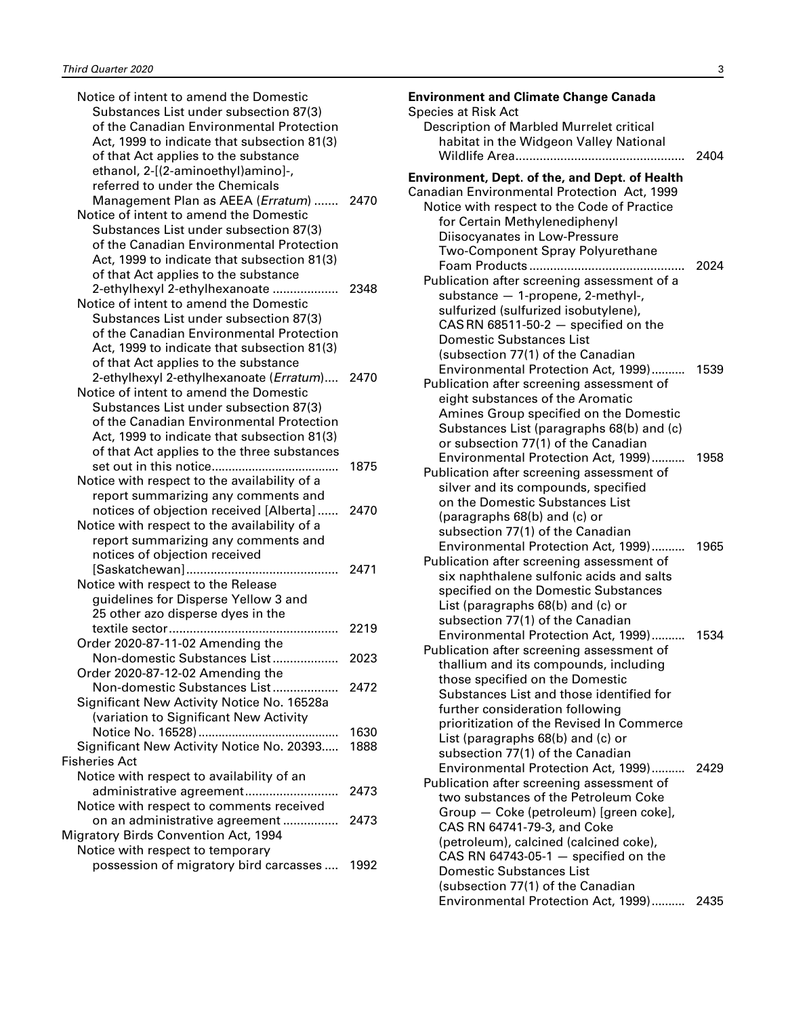| Notice of intent to amend the Domestic<br>Substances List under subsection 87(3) |      |
|----------------------------------------------------------------------------------|------|
| of the Canadian Environmental Protection                                         |      |
| Act, 1999 to indicate that subsection 81(3)                                      |      |
|                                                                                  |      |
| of that Act applies to the substance                                             |      |
| ethanol, 2-[(2-aminoethyl)amino]-,                                               |      |
| referred to under the Chemicals                                                  |      |
| Management Plan as AEEA (Erratum)                                                | 2470 |
| Notice of intent to amend the Domestic                                           |      |
| Substances List under subsection 87(3)                                           |      |
| of the Canadian Environmental Protection                                         |      |
| Act, 1999 to indicate that subsection 81(3)                                      |      |
| of that Act applies to the substance                                             |      |
| 2-ethylhexyl 2-ethylhexanoate                                                    | 2348 |
| Notice of intent to amend the Domestic                                           |      |
| Substances List under subsection 87(3)                                           |      |
| of the Canadian Environmental Protection                                         |      |
| Act, 1999 to indicate that subsection 81(3)                                      |      |
| of that Act applies to the substance                                             |      |
| 2-ethylhexyl 2-ethylhexanoate (Erratum)                                          | 2470 |
| Notice of intent to amend the Domestic                                           |      |
| Substances List under subsection 87(3)                                           |      |
| of the Canadian Environmental Protection                                         |      |
| Act, 1999 to indicate that subsection 81(3)                                      |      |
| of that Act applies to the three substances                                      |      |
| set out in this notice                                                           | 1875 |
| Notice with respect to the availability of a                                     |      |
| report summarizing any comments and                                              |      |
| notices of objection received [Alberta]                                          | 2470 |
| Notice with respect to the availability of a                                     |      |
| report summarizing any comments and                                              |      |
| notices of objection received                                                    |      |
|                                                                                  | 2471 |
|                                                                                  |      |
| Notice with respect to the Release                                               |      |
| guidelines for Disperse Yellow 3 and                                             |      |
| 25 other azo disperse dyes in the                                                |      |
|                                                                                  | 2219 |
| Order 2020-87-11-02 Amending the                                                 |      |
| Non-domestic Substances List                                                     | 2023 |
| Order 2020-87-12-02 Amending the                                                 |      |
| Non-domestic Substances List                                                     | 2472 |
| Significant New Activity Notice No. 16528a                                       |      |
| (variation to Significant New Activity                                           |      |
|                                                                                  | 1630 |
| Significant New Activity Notice No. 20393                                        | 1888 |
| <b>Fisheries Act</b>                                                             |      |
| Notice with respect to availability of an                                        |      |
| administrative agreement                                                         | 2473 |
| Notice with respect to comments received                                         |      |
| on an administrative agreement                                                   | 2473 |
| <b>Migratory Birds Convention Act, 1994</b>                                      |      |
| Notice with respect to temporary                                                 |      |
| possession of migratory bird carcasses                                           | 1992 |
|                                                                                  |      |

| <b>Environment and Climate Change Canada</b>                                     |      |
|----------------------------------------------------------------------------------|------|
| <b>Species at Risk Act</b>                                                       |      |
| Description of Marbled Murrelet critical                                         |      |
| habitat in the Widgeon Valley National                                           |      |
|                                                                                  | 2404 |
| <b>Environment, Dept. of the, and Dept. of Health</b>                            |      |
| Canadian Environmental Protection Act, 1999                                      |      |
| Notice with respect to the Code of Practice                                      |      |
| for Certain Methylenediphenyl                                                    |      |
| Diisocyanates in Low-Pressure                                                    |      |
| Two-Component Spray Polyurethane                                                 |      |
|                                                                                  |      |
| Publication after screening assessment of a                                      |      |
| substance - 1-propene, 2-methyl-,                                                |      |
| sulfurized (sulfurized isobutylene),                                             |      |
| $CAS RN 68511-50-2$ - specified on the                                           |      |
| <b>Domestic Substances List</b>                                                  |      |
| (subsection 77(1) of the Canadian                                                |      |
| Environmental Protection Act, 1999)                                              | 1539 |
| Publication after screening assessment of                                        |      |
| eight substances of the Aromatic                                                 |      |
| Amines Group specified on the Domestic                                           |      |
| Substances List (paragraphs 68(b) and (c)<br>or subsection 77(1) of the Canadian |      |
| Environmental Protection Act, 1999)                                              | 1958 |
| Publication after screening assessment of                                        |      |
| silver and its compounds, specified                                              |      |
| on the Domestic Substances List                                                  |      |
| (paragraphs 68(b) and (c) or                                                     |      |
| subsection 77(1) of the Canadian                                                 |      |
| Environmental Protection Act, 1999)                                              | 1965 |
| Publication after screening assessment of                                        |      |
| six naphthalene sulfonic acids and salts                                         |      |
| specified on the Domestic Substances                                             |      |
| List (paragraphs 68(b) and (c) or                                                |      |
| subsection 77(1) of the Canadian                                                 |      |
| Environmental Protection Act, 1999)                                              | 1534 |
| Publication after screening assessment of                                        |      |
| thallium and its compounds, including                                            |      |
| those specified on the Domestic                                                  |      |
| Substances List and those identified for<br>further consideration following      |      |
| prioritization of the Revised In Commerce                                        |      |
| List (paragraphs 68(b) and (c) or                                                |      |
| subsection 77(1) of the Canadian                                                 |      |
| Environmental Protection Act, 1999) 2429                                         |      |
| Publication after screening assessment of                                        |      |
| two substances of the Petroleum Coke                                             |      |
| Group - Coke (petroleum) [green coke],                                           |      |
| CAS RN 64741-79-3, and Coke                                                      |      |
| (petroleum), calcined (calcined coke),                                           |      |
| CAS RN 64743-05-1 $-$ specified on the                                           |      |
| <b>Domestic Substances List</b>                                                  |      |
| (subsection 77(1) of the Canadian                                                |      |
| Environmental Protection Act, 1999) 2435                                         |      |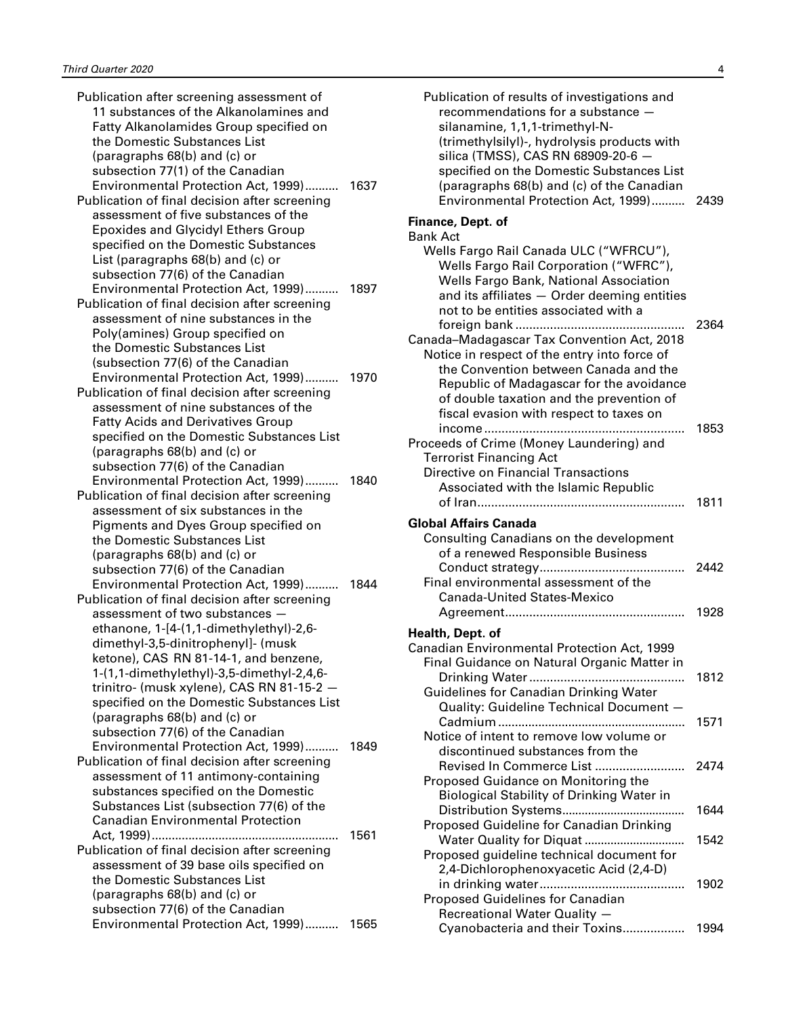| Publication after screening assessment of     |      |
|-----------------------------------------------|------|
| 11 substances of the Alkanolamines and        |      |
| Fatty Alkanolamides Group specified on        |      |
| the Domestic Substances List                  |      |
| (paragraphs 68(b) and (c) or                  |      |
| subsection 77(1) of the Canadian              |      |
| Environmental Protection Act, 1999)           | 1637 |
| Publication of final decision after screening |      |
| assessment of five substances of the          |      |
| <b>Epoxides and Glycidyl Ethers Group</b>     |      |
| specified on the Domestic Substances          |      |
| List (paragraphs 68(b) and (c) or             |      |
| subsection 77(6) of the Canadian              |      |
|                                               |      |
| Environmental Protection Act, 1999) 1897      |      |
| Publication of final decision after screening |      |
| assessment of nine substances in the          |      |
| Poly(amines) Group specified on               |      |
| the Domestic Substances List                  |      |
| (subsection 77(6) of the Canadian             |      |
| Environmental Protection Act, 1999)           | 1970 |
| Publication of final decision after screening |      |
| assessment of nine substances of the          |      |
| <b>Fatty Acids and Derivatives Group</b>      |      |
| specified on the Domestic Substances List     |      |
| (paragraphs 68(b) and (c) or                  |      |
| subsection 77(6) of the Canadian              |      |
| Environmental Protection Act, 1999)           | 1840 |
| Publication of final decision after screening |      |
| assessment of six substances in the           |      |
| Pigments and Dyes Group specified on          |      |
| the Domestic Substances List                  |      |
| (paragraphs 68(b) and (c) or                  |      |
| subsection 77(6) of the Canadian              |      |
| Environmental Protection Act, 1999)           | 1844 |
| Publication of final decision after screening |      |
| assessment of two substances -                |      |
| ethanone, 1-[4-(1,1-dimethylethyl)-2,6-       |      |
| dimethyl-3,5-dinitrophenyl]- (musk            |      |
| ketone), CAS RN 81-14-1, and benzene,         |      |
| 1-(1,1-dimethylethyl)-3,5-dimethyl-2,4,6-     |      |
| trinitro- (musk xylene), CAS RN 81-15-2 -     |      |
| specified on the Domestic Substances List     |      |
| (paragraphs 68(b) and (c) or                  |      |
| subsection 77(6) of the Canadian              |      |
|                                               |      |
| Environmental Protection Act, 1999)           | 1849 |
| Publication of final decision after screening |      |
| assessment of 11 antimony-containing          |      |
| substances specified on the Domestic          |      |
| Substances List (subsection 77(6) of the      |      |
| <b>Canadian Environmental Protection</b>      |      |
| .                                             | 1561 |
| Publication of final decision after screening |      |
| assessment of 39 base oils specified on       |      |
| the Domestic Substances List                  |      |
| (paragraphs 68(b) and (c) or                  |      |
| subsection 77(6) of the Canadian              |      |
| Environmental Protection Act, 1999)           | 1565 |

| Publication of results of investigations and<br>recommendations for a substance<br>silanamine, 1,1,1-trimethyl-N-<br>(trimethylsilyl)-, hydrolysis products with<br>silica (TMSS), CAS RN 68909-20-6 -<br>specified on the Domestic Substances List<br>(paragraphs 68(b) and (c) of the Canadian<br>Environmental Protection Act, 1999) | 2439 |
|-----------------------------------------------------------------------------------------------------------------------------------------------------------------------------------------------------------------------------------------------------------------------------------------------------------------------------------------|------|
| Finance, Dept. of                                                                                                                                                                                                                                                                                                                       |      |
| <b>Bank Act</b>                                                                                                                                                                                                                                                                                                                         |      |
| Wells Fargo Rail Canada ULC ("WFRCU"),<br>Wells Fargo Rail Corporation ("WFRC"),<br>Wells Fargo Bank, National Association<br>and its affiliates - Order deeming entities<br>not to be entities associated with a                                                                                                                       | 2364 |
| Canada-Madagascar Tax Convention Act, 2018                                                                                                                                                                                                                                                                                              |      |
| Notice in respect of the entry into force of                                                                                                                                                                                                                                                                                            |      |
| the Convention between Canada and the                                                                                                                                                                                                                                                                                                   |      |
| Republic of Madagascar for the avoidance<br>of double taxation and the prevention of<br>fiscal evasion with respect to taxes on                                                                                                                                                                                                         |      |
|                                                                                                                                                                                                                                                                                                                                         | 1853 |
| Proceeds of Crime (Money Laundering) and                                                                                                                                                                                                                                                                                                |      |
| <b>Terrorist Financing Act</b>                                                                                                                                                                                                                                                                                                          |      |
| Directive on Financial Transactions                                                                                                                                                                                                                                                                                                     |      |
| Associated with the Islamic Republic                                                                                                                                                                                                                                                                                                    |      |
|                                                                                                                                                                                                                                                                                                                                         | 1811 |
| <b>Global Affairs Canada</b>                                                                                                                                                                                                                                                                                                            |      |
| Consulting Canadians on the development                                                                                                                                                                                                                                                                                                 |      |
| of a renewed Responsible Business                                                                                                                                                                                                                                                                                                       |      |
|                                                                                                                                                                                                                                                                                                                                         |      |
|                                                                                                                                                                                                                                                                                                                                         | 2442 |
| Final environmental assessment of the                                                                                                                                                                                                                                                                                                   |      |
| <b>Canada-United States-Mexico</b>                                                                                                                                                                                                                                                                                                      |      |
|                                                                                                                                                                                                                                                                                                                                         | 1928 |
| Health, Dept. of                                                                                                                                                                                                                                                                                                                        |      |
| Canadian Environmental Protection Act, 1999<br>Final Guidance on Natural Organic Matter in                                                                                                                                                                                                                                              |      |
|                                                                                                                                                                                                                                                                                                                                         | 1812 |
| Guidelines for Canadian Drinking Water                                                                                                                                                                                                                                                                                                  |      |
| Quality: Guideline Technical Document -                                                                                                                                                                                                                                                                                                 | 1571 |
| Notice of intent to remove low volume or                                                                                                                                                                                                                                                                                                |      |
| discontinued substances from the                                                                                                                                                                                                                                                                                                        |      |
| Revised In Commerce List                                                                                                                                                                                                                                                                                                                | 2474 |
| Proposed Guidance on Monitoring the                                                                                                                                                                                                                                                                                                     |      |
| <b>Biological Stability of Drinking Water in</b>                                                                                                                                                                                                                                                                                        |      |
|                                                                                                                                                                                                                                                                                                                                         | 1644 |
| Proposed Guideline for Canadian Drinking                                                                                                                                                                                                                                                                                                |      |
| Water Quality for Diquat                                                                                                                                                                                                                                                                                                                | 1542 |
| Proposed guideline technical document for                                                                                                                                                                                                                                                                                               |      |
| 2,4-Dichlorophenoxyacetic Acid (2,4-D)                                                                                                                                                                                                                                                                                                  | 1902 |
| <b>Proposed Guidelines for Canadian</b>                                                                                                                                                                                                                                                                                                 |      |
| Recreational Water Quality -<br>Cyanobacteria and their Toxins                                                                                                                                                                                                                                                                          | 1994 |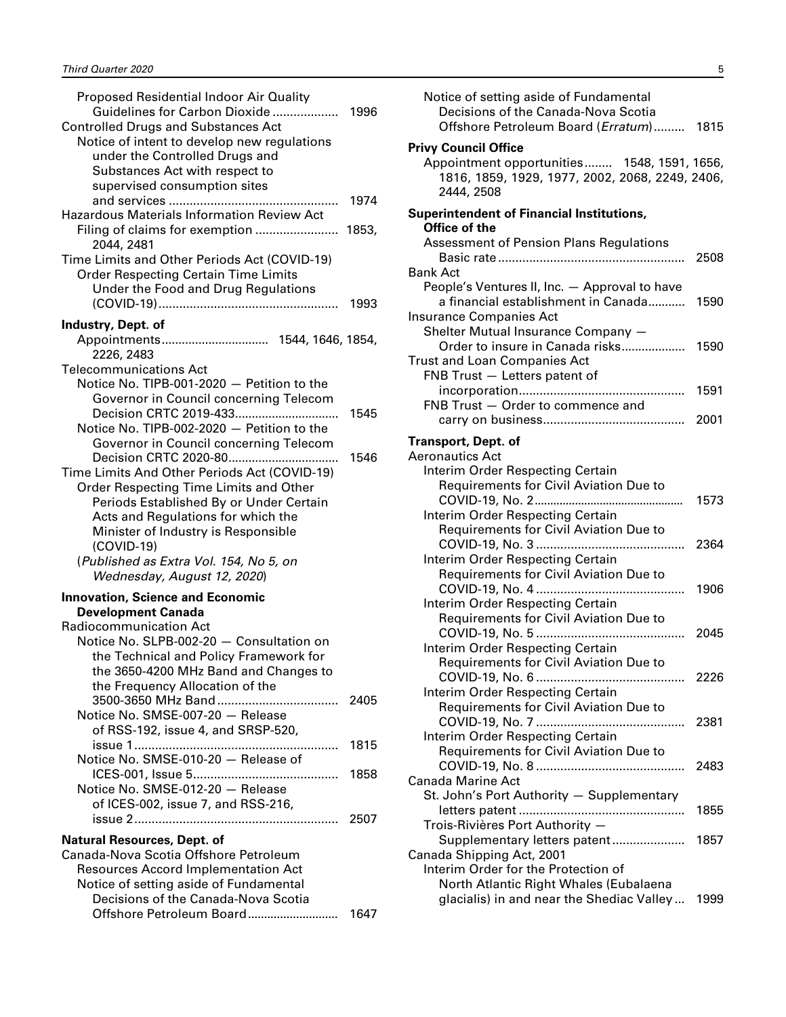| Proposed Residential Indoor Air Quality<br><b>Controlled Drugs and Substances Act</b><br>Notice of intent to develop new regulations<br>under the Controlled Drugs and<br>Substances Act with respect to<br>supervised consumption sites<br><b>Hazardous Materials Information Review Act</b><br>Filing of claims for exemption  1853,<br>2044, 2481<br>Time Limits and Other Periods Act (COVID-19)<br><b>Order Respecting Certain Time Limits</b><br>Under the Food and Drug Regulations                                                         | 1974<br>1993 |
|----------------------------------------------------------------------------------------------------------------------------------------------------------------------------------------------------------------------------------------------------------------------------------------------------------------------------------------------------------------------------------------------------------------------------------------------------------------------------------------------------------------------------------------------------|--------------|
| Industry, Dept. of                                                                                                                                                                                                                                                                                                                                                                                                                                                                                                                                 |              |
| 2226, 2483                                                                                                                                                                                                                                                                                                                                                                                                                                                                                                                                         |              |
| <b>Telecommunications Act</b><br>Notice No. TIPB-001-2020 - Petition to the<br>Governor in Council concerning Telecom<br>Decision CRTC 2019-433<br>Notice No. TIPB-002-2020 - Petition to the<br>Governor in Council concerning Telecom<br>Time Limits And Other Periods Act (COVID-19)<br>Order Respecting Time Limits and Other<br>Periods Established By or Under Certain<br>Acts and Regulations for which the<br>Minister of Industry is Responsible<br>$(COVID-19)$<br>(Published as Extra Vol. 154, No 5, on<br>Wednesday, August 12, 2020) | 1545<br>1546 |
| <b>Innovation, Science and Economic</b>                                                                                                                                                                                                                                                                                                                                                                                                                                                                                                            |              |
| <b>Development Canada</b><br><b>Radiocommunication Act</b><br>Notice No. SLPB-002-20 - Consultation on<br>the Technical and Policy Framework for<br>the 3650-4200 MHz Band and Changes to<br>the Frequency Allocation of the                                                                                                                                                                                                                                                                                                                       |              |
| Notice No. SMSE-007-20 - Release<br>of RSS-192, issue 4, and SRSP-520,                                                                                                                                                                                                                                                                                                                                                                                                                                                                             | 2405         |
| Notice No. SMSE-010-20 - Release of                                                                                                                                                                                                                                                                                                                                                                                                                                                                                                                | 1815         |
| Notice No. SMSE-012-20 - Release<br>of ICES-002, issue 7, and RSS-216,                                                                                                                                                                                                                                                                                                                                                                                                                                                                             | 1858<br>2507 |
| <b>Natural Resources, Dept. of</b>                                                                                                                                                                                                                                                                                                                                                                                                                                                                                                                 |              |
| Canada-Nova Scotia Offshore Petroleum<br><b>Resources Accord Implementation Act</b><br>Notice of setting aside of Fundamental<br>Decisions of the Canada-Nova Scotia                                                                                                                                                                                                                                                                                                                                                                               |              |
|                                                                                                                                                                                                                                                                                                                                                                                                                                                                                                                                                    |              |

| oposed Residential Indoor Air Quality<br>Guidelines for Carbon Dioxide<br>olled Drugs and Substances Act                                      | 1996 | Notice of setting aside of Fundamental<br>Decisions of the Canada-Nova Scotia<br>Offshore Petroleum Board (Erratum) 1815                    |      |
|-----------------------------------------------------------------------------------------------------------------------------------------------|------|---------------------------------------------------------------------------------------------------------------------------------------------|------|
| tice of intent to develop new regulations<br>under the Controlled Drugs and<br>Substances Act with respect to<br>supervised consumption sites | 1974 | <b>Privy Council Office</b><br>Appointment opportunities 1548, 1591, 1656,<br>1816, 1859, 1929, 1977, 2002, 2068, 2249, 2406,<br>2444, 2508 |      |
| dous Materials Information Review Act<br>ing of claims for exemption  1853,                                                                   |      | <b>Superintendent of Financial Institutions,</b><br>Office of the                                                                           |      |
| 2044, 2481                                                                                                                                    |      | <b>Assessment of Pension Plans Regulations</b>                                                                                              |      |
| Limits and Other Periods Act (COVID-19)                                                                                                       |      |                                                                                                                                             | 2508 |
| der Respecting Certain Time Limits                                                                                                            |      | <b>Bank Act</b>                                                                                                                             |      |
| Under the Food and Drug Regulations                                                                                                           |      | People's Ventures II, Inc. - Approval to have<br>a financial establishment in Canada                                                        | 1590 |
|                                                                                                                                               |      | Insurance Companies Act                                                                                                                     |      |
| try, Dept. of:                                                                                                                                |      | Shelter Mutual Insurance Company -                                                                                                          |      |
|                                                                                                                                               |      | Order to insure in Canada risks                                                                                                             | 1590 |
| 2226, 2483<br>ommunications Act                                                                                                               |      | <b>Trust and Loan Companies Act</b>                                                                                                         |      |
| tice No. TIPB-001-2020 — Petition to the                                                                                                      |      | FNB Trust - Letters patent of                                                                                                               |      |
| Governor in Council concerning Telecom                                                                                                        |      |                                                                                                                                             | 1591 |
| Decision CRTC 2019-433                                                                                                                        | 1545 | FNB Trust - Order to commence and                                                                                                           |      |
| tice No. TIPB-002-2020 - Petition to the                                                                                                      |      |                                                                                                                                             |      |
| Governor in Council concerning Telecom                                                                                                        |      | <b>Transport, Dept. of</b>                                                                                                                  |      |
|                                                                                                                                               | 1546 | <b>Aeronautics Act</b>                                                                                                                      |      |
| Limits And Other Periods Act (COVID-19)                                                                                                       |      | Interim Order Respecting Certain                                                                                                            |      |
| der Respecting Time Limits and Other                                                                                                          |      | Requirements for Civil Aviation Due to                                                                                                      | 1573 |
| Periods Established By or Under Certain<br>Acts and Regulations for which the                                                                 |      | Interim Order Respecting Certain                                                                                                            |      |
| Minister of Industry is Responsible                                                                                                           |      | Requirements for Civil Aviation Due to                                                                                                      |      |
| (COVID-19)                                                                                                                                    |      |                                                                                                                                             | 2364 |
| ublished as Extra Vol. 154, No 5, on                                                                                                          |      | Interim Order Respecting Certain                                                                                                            |      |
| Wednesday, August 12, 2020)                                                                                                                   |      | Requirements for Civil Aviation Due to                                                                                                      |      |
| ation, Science and Economic                                                                                                                   |      |                                                                                                                                             | 1906 |
| velopment Canada                                                                                                                              |      | Interim Order Respecting Certain                                                                                                            |      |
| communication Act                                                                                                                             |      | Requirements for Civil Aviation Due to                                                                                                      |      |
| tice No. SLPB-002-20 - Consultation on                                                                                                        |      | Interim Order Respecting Certain                                                                                                            | 2045 |
| the Technical and Policy Framework for                                                                                                        |      | Requirements for Civil Aviation Due to                                                                                                      |      |
| the 3650-4200 MHz Band and Changes to                                                                                                         |      |                                                                                                                                             | 2226 |
| the Frequency Allocation of the                                                                                                               |      | Interim Order Respecting Certain                                                                                                            |      |
|                                                                                                                                               | 2405 | Requirements for Civil Aviation Due to                                                                                                      |      |
| tice No. SMSE-007-20 - Release<br>of RSS-192, issue 4, and SRSP-520,                                                                          |      |                                                                                                                                             | 2381 |
|                                                                                                                                               | 1815 | Interim Order Respecting Certain                                                                                                            |      |
| tice No. SMSE-010-20 - Release of                                                                                                             |      | <b>Requirements for Civil Aviation Due to</b>                                                                                               |      |
|                                                                                                                                               |      | <b>Canada Marine Act</b>                                                                                                                    | 2483 |
| tice No. SMSE-012-20 - Release                                                                                                                |      | St. John's Port Authority - Supplementary                                                                                                   |      |
| of ICES-002, issue 7, and RSS-216,                                                                                                            |      |                                                                                                                                             | 1855 |
|                                                                                                                                               | 2507 | Trois-Rivières Port Authority -                                                                                                             |      |
| ral Resources, Dept. of                                                                                                                       |      | Supplementary letters patent                                                                                                                | 1857 |
| da-Nova Scotia Offshore Petroleum                                                                                                             |      | Canada Shipping Act, 2001                                                                                                                   |      |
| sources Accord Implementation Act                                                                                                             |      | Interim Order for the Protection of                                                                                                         |      |
| tice of setting aside of Fundamental                                                                                                          |      | North Atlantic Right Whales (Eubalaena                                                                                                      |      |
| Decisions of the Canada-Nova Scotia                                                                                                           |      | glacialis) in and near the Shediac Valley                                                                                                   | 1999 |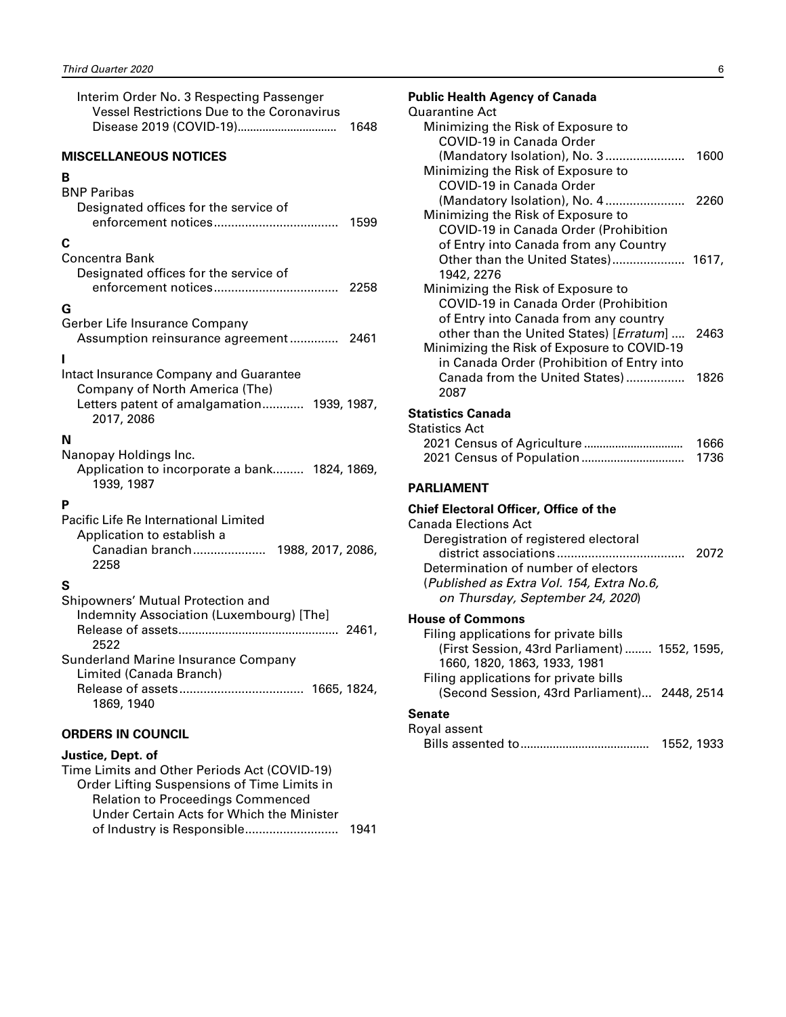<span id="page-7-0"></span>

| Interim Order No. 3 Respecting Passenger<br>Vessel Restrictions Due to the Coronavirus<br>1648                                       |
|--------------------------------------------------------------------------------------------------------------------------------------|
| <b>MISCELLANEOUS NOTICES</b>                                                                                                         |
| в<br><b>BNP Paribas</b><br>Designated offices for the service of                                                                     |
| 1599                                                                                                                                 |
| С<br>Concentra Bank<br>Designated offices for the service of                                                                         |
| G<br>Gerber Life Insurance Company<br>Assumption reinsurance agreement 2461                                                          |
| Intact Insurance Company and Guarantee<br>Company of North America (The)<br>Letters patent of amalgamation 1939, 1987,<br>2017, 2086 |
| N<br>Nanopay Holdings Inc.<br>Application to incorporate a bank 1824, 1869,<br>1939, 1987                                            |
| Р<br>Pacific Life Re International Limited<br>Application to establish a<br>Canadian branch 1988, 2017, 2086,<br>2258                |
| S<br>Shipowners' Mutual Protection and<br>Indemnity Association (Luxembourg) [The]<br>2522                                           |
| Sunderland Marine Insurance Company<br>Limited (Canada Branch)<br>1869, 1940                                                         |
| <b>ORDERS IN COUNCIL</b>                                                                                                             |

#### **Justice, Dept. of**

| 1941 |
|------|
|      |

| <b>Public Health Agency of Canada</b>             |      |
|---------------------------------------------------|------|
| <b>Quarantine Act</b>                             |      |
| Minimizing the Risk of Exposure to                |      |
| COVID-19 in Canada Order                          |      |
| (Mandatory Isolation), No. 3                      | 1600 |
| Minimizing the Risk of Exposure to                |      |
| COVID-19 in Canada Order                          |      |
| (Mandatory Isolation), No. 4                      | 2260 |
| Minimizing the Risk of Exposure to                |      |
| <b>COVID-19 in Canada Order (Prohibition</b>      |      |
| of Entry into Canada from any Country             |      |
| Other than the United States) 1617,<br>1942, 2276 |      |
| Minimizing the Risk of Exposure to                |      |
| COVID-19 in Canada Order (Prohibition             |      |
| of Entry into Canada from any country             |      |
| other than the United States) [Erratum]           | 2463 |
| Minimizing the Risk of Exposure to COVID-19       |      |
| in Canada Order (Prohibition of Entry into        |      |
| Canada from the United States)                    | 1826 |
| 2087                                              |      |
| <b>Statistics Canada</b>                          |      |
| <b>Statistics Act</b>                             |      |
|                                                   | 1666 |
|                                                   | 1736 |
|                                                   |      |
| <b>PARLIAMENT</b>                                 |      |
| <b>Chief Electoral Officer, Office of the</b>     |      |
| <b>Canada Elections Act</b>                       |      |
| Deregistration of registered electoral            |      |
|                                                   | 2072 |
| Determination of number of electors               |      |
| (Published as Extra Vol. 154, Extra No.6,         |      |
| on Thursday, September 24, 2020)                  |      |
|                                                   |      |

#### **House of Commons**

| Filing applications for private bills         |  |
|-----------------------------------------------|--|
| (First Session, 43rd Parliament)  1552, 1595, |  |
| 1660, 1820, 1863, 1933, 1981                  |  |
| Filing applications for private bills         |  |
| (Second Session, 43rd Parliament) 2448, 2514  |  |
| Senate                                        |  |
| Royal assent                                  |  |

| 1552, 1933 |
|------------|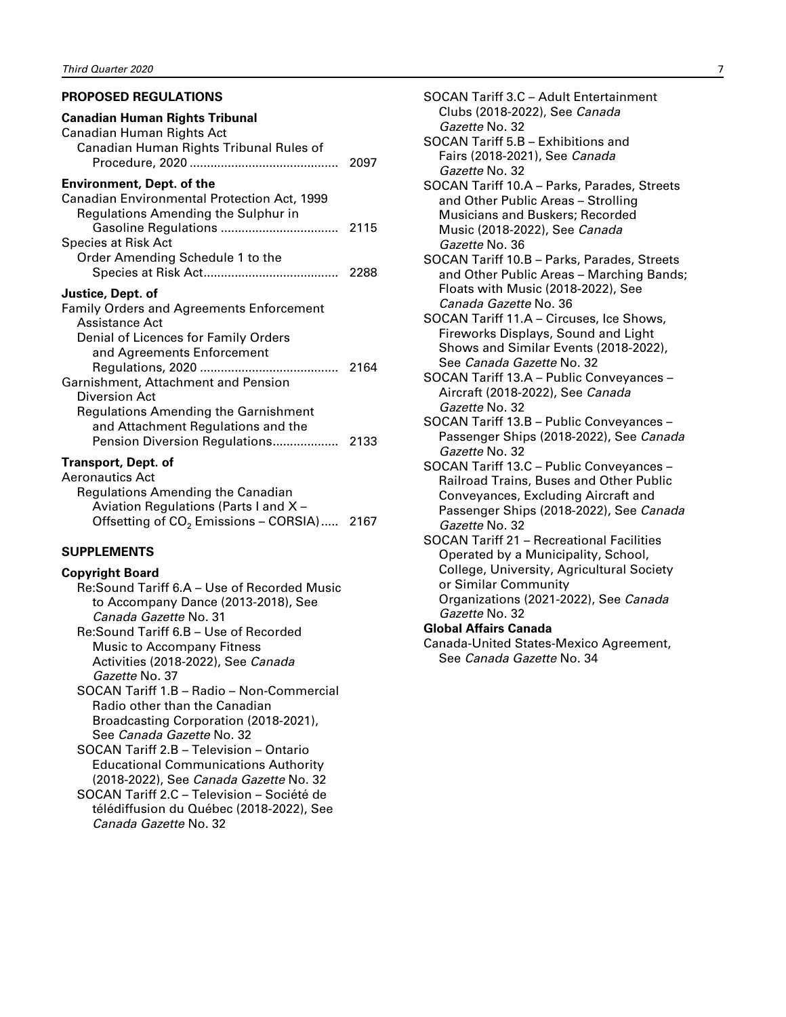#### <span id="page-8-0"></span>**PROPOSED REGULATIONS**

| 2288                                                   |
|--------------------------------------------------------|
|                                                        |
|                                                        |
| Offsetting of CO <sub>2</sub> Emissions - CORSIA) 2167 |
|                                                        |

#### **SUPPLEMENTS**

#### **Copyright Board**

Re:Sound Tariff 6.A – Use of Recorded Music to Accompany Dance (2013-2018), See *Canada Gazette* No. 31

Re:Sound Tariff 6.B – Use of Recorded Music to Accompany Fitness Activities (2018-2022), See *Canada Gazette* No. 37

SOCAN Tariff 1.B – Radio – Non-Commercial Radio other than the Canadian Broadcasting Corporation (2018-2021), See *Canada Gazette* No. 32

SOCAN Tariff 2.B – Television – Ontario Educational Communications Authority (2018-2022), See *Canada Gazette* No. 32

SOCAN Tariff 2.C – Television – Société de télédiffusion du Québec (2018-2022), See *Canada Gazette* No. 32

- SOCAN Tariff 3.C Adult Entertainment Clubs (2018-2022), See *Canada Gazette* No. 32 SOCAN Tariff 5.B – Exhibitions and Fairs (2018-2021), See *Canada Gazette* No. 32 SOCAN Tariff 10.A – Parks, Parades, Streets and Other Public Areas – Strolling Musicians and Buskers; Recorded Music (2018-2022), See *Canada*
- *Gazette* No. 36 SOCAN Tariff 10.B – Parks, Parades, Streets and Other Public Areas – Marching Bands; Floats with Music (2018-2022), See *Canada Gazette* No. 36

SOCAN Tariff 11.A – Circuses, Ice Shows, Fireworks Displays, Sound and Light Shows and Similar Events (2018-2022), See *Canada Gazette* No. 32

SOCAN Tariff 13.A – Public Conveyances – Aircraft (2018-2022), See *Canada Gazette* No. 32

SOCAN Tariff 13.B – Public Conveyances – Passenger Ships (2018-2022), See *Canada Gazette* No. 32

SOCAN Tariff 13.C – Public Conveyances – Railroad Trains, Buses and Other Public Conveyances, Excluding Aircraft and Passenger Ships (2018-2022), See *Canada Gazette* No. 32

SOCAN Tariff 21 – Recreational Facilities Operated by a Municipality, School, College, University, Agricultural Society or Similar Community Organizations (2021-2022), See *Canada Gazette* No. 32

#### **Global Affairs Canada**

Canada-United States-Mexico Agreement, See *Canada Gazette* No. 34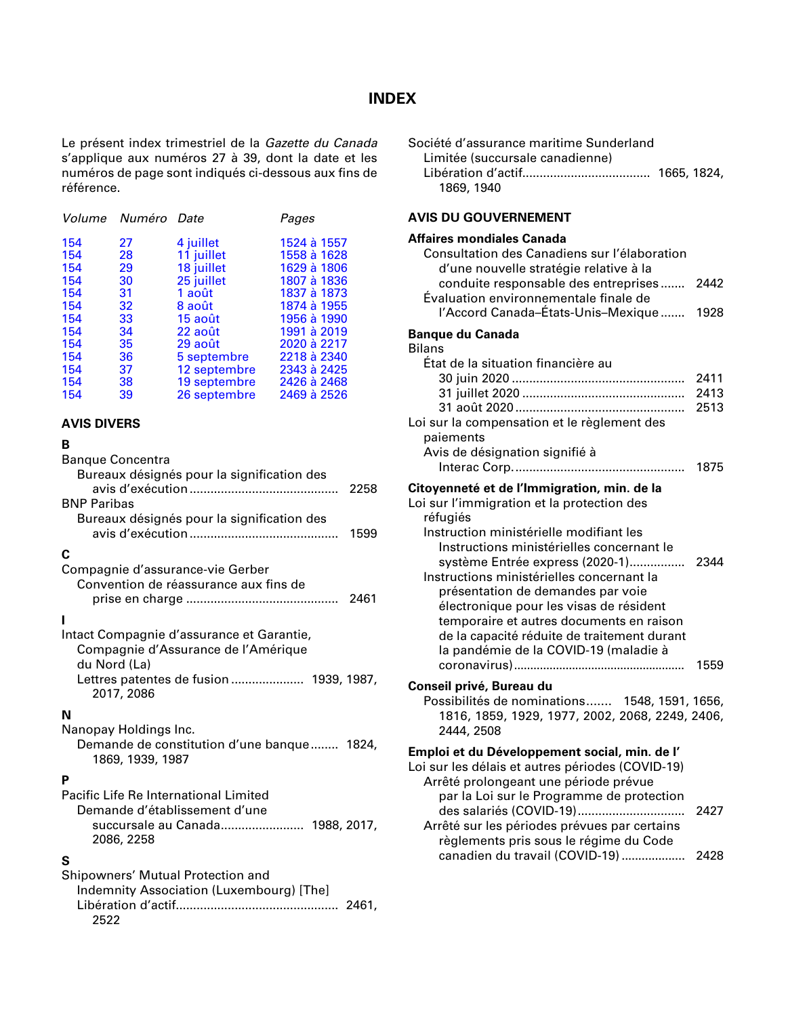### **INDEX**

<span id="page-9-0"></span>Le présent index trimestriel de la *Gazette du Canada* s'applique aux numéros 27 à 39, dont la date et les numéros de page sont indiqués ci-dessous aux fins de référence.

|     | Volume Numéro Date |              | Pages       |
|-----|--------------------|--------------|-------------|
| 154 | 27                 | 4 juillet    | 1524 à 1557 |
| 154 | 28                 | 11 juillet   | 1558 à 1628 |
| 154 | 29                 | 18 juillet   | 1629 à 1806 |
| 154 | 30                 | 25 juillet   | 1807 à 1836 |
| 154 | 31                 | 1 août       | 1837 à 1873 |
| 154 | 32                 | 8 août       | 1874 à 1955 |
| 154 | 33                 | 15 août      | 1956 à 1990 |
| 154 | 34                 | 22 août      | 1991 à 2019 |
| 154 | 35                 | 29 août      | 2020 à 2217 |
| 154 | 36                 | 5 septembre  | 2218 à 2340 |
| 154 | 37                 | 12 septembre | 2343 à 2425 |
| 154 | 38                 | 19 septembre | 2426 à 2468 |
| 154 | 39                 | 26 septembre | 2469 à 2526 |

#### **AVIS DIVERS**

#### **B**

| <b>Banque Concentra</b><br>Bureaux désignés pour la signification des<br>2258                    |  |
|--------------------------------------------------------------------------------------------------|--|
| <b>BNP Paribas</b>                                                                               |  |
| Bureaux désignés pour la signification des<br>1599                                               |  |
| С                                                                                                |  |
| Compagnie d'assurance-vie Gerber                                                                 |  |
| Convention de réassurance aux fins de                                                            |  |
| 2461                                                                                             |  |
|                                                                                                  |  |
| Intact Compagnie d'assurance et Garantie,<br>Compagnie d'Assurance de l'Amérique<br>du Nord (La) |  |
| Lettres patentes de fusion 1939, 1987,<br>2017, 2086                                             |  |
| N                                                                                                |  |
| Nanopay Holdings Inc.                                                                            |  |
| Demande de constitution d'une banque 1824,<br>1869, 1939, 1987                                   |  |
| P                                                                                                |  |
| Pacific Life Re International Limited                                                            |  |
| Demande d'établissement d'une                                                                    |  |

## **S**

2086, 2258

Shipowners' Mutual Protection and Indemnity Association (Luxembourg) [The] Libération d'actif............................................... 2461, 2522

succursale au Canada........................ 1988, 2017,

| Société d'assurance maritime Sunderland<br>Limitée (succursale canadienne)<br>1869, 1940                                                                                                                                                                                                                                                                                                                                                           |                              |
|----------------------------------------------------------------------------------------------------------------------------------------------------------------------------------------------------------------------------------------------------------------------------------------------------------------------------------------------------------------------------------------------------------------------------------------------------|------------------------------|
| <b>AVIS DU GOUVERNEMENT</b>                                                                                                                                                                                                                                                                                                                                                                                                                        |                              |
| <b>Affaires mondiales Canada</b><br>Consultation des Canadiens sur l'élaboration<br>d'une nouvelle stratégie relative à la<br>conduite responsable des entreprises<br>Évaluation environnementale finale de<br>l'Accord Canada–États-Unis–Mexique                                                                                                                                                                                                  | 2442<br>1928                 |
| <b>Banque du Canada</b>                                                                                                                                                                                                                                                                                                                                                                                                                            |                              |
| <b>Bilans</b>                                                                                                                                                                                                                                                                                                                                                                                                                                      |                              |
| État de la situation financière au<br>Loi sur la compensation et le règlement des<br>paiements<br>Avis de désignation signifié à                                                                                                                                                                                                                                                                                                                   | 2411<br>2413<br>2513<br>1875 |
| Citoyenneté et de l'Immigration, min. de la                                                                                                                                                                                                                                                                                                                                                                                                        |                              |
| Loi sur l'immigration et la protection des<br>réfugiés<br>Instruction ministérielle modifiant les<br>Instructions ministérielles concernant le<br>système Entrée express (2020-1)<br>Instructions ministérielles concernant la<br>présentation de demandes par voie<br>électronique pour les visas de résident<br>temporaire et autres documents en raison<br>de la capacité réduite de traitement durant<br>la pandémie de la COVID-19 (maladie à | 2344                         |
|                                                                                                                                                                                                                                                                                                                                                                                                                                                    | 1559                         |
| Conseil privé, Bureau du<br>Possibilités de nominations 1548, 1591, 1656,<br>1816, 1859, 1929, 1977, 2002, 2068, 2249, 2406,<br>2444, 2508                                                                                                                                                                                                                                                                                                         |                              |
| Emploi et du Développement social, min. de l'<br>Loi sur les délais et autres périodes (COVID-19)<br>Arrêté prolongeant une période prévue<br>par la Loi sur le Programme de protection                                                                                                                                                                                                                                                            |                              |
| des salariés (COVID-19)<br>Arrêté sur les périodes prévues par certains<br>règlements pris sous le régime du Code                                                                                                                                                                                                                                                                                                                                  | 2427                         |
| canadien du travail (COVID-19)                                                                                                                                                                                                                                                                                                                                                                                                                     | 2428                         |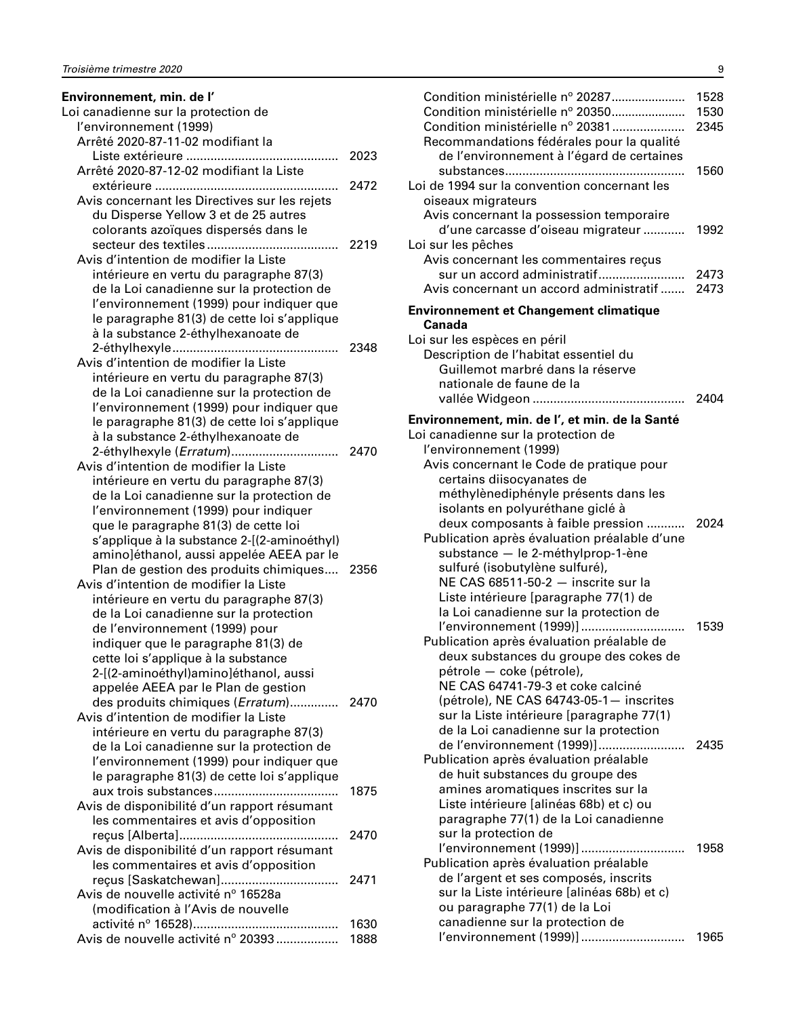| Environnement, min. de l'                                                               |      |
|-----------------------------------------------------------------------------------------|------|
| Loi canadienne sur la protection de                                                     |      |
| l'environnement (1999)                                                                  |      |
| Arrêté 2020-87-11-02 modifiant la                                                       |      |
|                                                                                         | 2023 |
| Arrêté 2020-87-12-02 modifiant la Liste                                                 |      |
|                                                                                         | 2472 |
| Avis concernant les Directives sur les rejets                                           |      |
| du Disperse Yellow 3 et de 25 autres                                                    |      |
| colorants azoïques dispersés dans le                                                    |      |
| Avis d'intention de modifier la Liste                                                   |      |
| intérieure en vertu du paragraphe 87(3)                                                 |      |
| de la Loi canadienne sur la protection de                                               |      |
| l'environnement (1999) pour indiquer que                                                |      |
| le paragraphe 81(3) de cette loi s'applique                                             |      |
| à la substance 2-éthylhexanoate de                                                      |      |
|                                                                                         | 2348 |
| Avis d'intention de modifier la Liste                                                   |      |
| intérieure en vertu du paragraphe 87(3)                                                 |      |
| de la Loi canadienne sur la protection de                                               |      |
| l'environnement (1999) pour indiquer que                                                |      |
| le paragraphe 81(3) de cette loi s'applique                                             |      |
| à la substance 2-éthylhexanoate de                                                      |      |
| 2-éthylhexyle (Erratum)                                                                 | 2470 |
| Avis d'intention de modifier la Liste                                                   |      |
| intérieure en vertu du paragraphe 87(3)                                                 |      |
| de la Loi canadienne sur la protection de                                               |      |
| l'environnement (1999) pour indiquer                                                    |      |
| que le paragraphe 81(3) de cette loi                                                    |      |
| s'applique à la substance 2-[(2-aminoéthyl)<br>amino]éthanol, aussi appelée AEEA par le |      |
| Plan de gestion des produits chimiques 2356                                             |      |
| Avis d'intention de modifier la Liste                                                   |      |
| intérieure en vertu du paragraphe 87(3)                                                 |      |
| de la Loi canadienne sur la protection                                                  |      |
| de l'environnement (1999) pour                                                          |      |
| indiquer que le paragraphe 81(3) de                                                     |      |
| cette loi s'applique à la substance                                                     |      |
| 2-[(2-aminoéthyl)amino]éthanol, aussi                                                   |      |
| appelée AEEA par le Plan de gestion                                                     |      |
| des produits chimiques (Erratum) 2470                                                   |      |
| Avis d'intention de modifier la Liste                                                   |      |
| intérieure en vertu du paragraphe 87(3)                                                 |      |
| de la Loi canadienne sur la protection de                                               |      |
| l'environnement (1999) pour indiquer que                                                |      |
| le paragraphe 81(3) de cette loi s'applique                                             |      |
|                                                                                         | 1875 |
| Avis de disponibilité d'un rapport résumant<br>les commentaires et avis d'opposition    |      |
|                                                                                         | 2470 |
| Avis de disponibilité d'un rapport résumant                                             |      |
| les commentaires et avis d'opposition                                                   |      |
| reçus [Saskatchewan]                                                                    | 2471 |
| Avis de nouvelle activité nº 16528a                                                     |      |
| (modification à l'Avis de nouvelle                                                      |      |
|                                                                                         | 1630 |
| Avis de nouvelle activité nº 20393                                                      | 1888 |

| Condition ministérielle nº 20287<br>Condition ministérielle nº 20350<br>Condition ministérielle nº 20381<br>Recommandations fédérales pour la qualité<br>de l'environnement à l'égard de certaines                                                                                                                                                                                            | 1528<br>1530<br>2345 |
|-----------------------------------------------------------------------------------------------------------------------------------------------------------------------------------------------------------------------------------------------------------------------------------------------------------------------------------------------------------------------------------------------|----------------------|
| Loi de 1994 sur la convention concernant les<br>oiseaux migrateurs                                                                                                                                                                                                                                                                                                                            | 1560                 |
| Avis concernant la possession temporaire<br>d'une carcasse d'oiseau migrateur<br>Loi sur les pêches<br>Avis concernant les commentaires reçus                                                                                                                                                                                                                                                 | 1992                 |
| sur un accord administratif<br>Avis concernant un accord administratif                                                                                                                                                                                                                                                                                                                        | 2473<br>2473         |
| <b>Environnement et Changement climatique</b><br>Canada                                                                                                                                                                                                                                                                                                                                       |                      |
| Loi sur les espèces en péril<br>Description de l'habitat essentiel du<br>Guillemot marbré dans la réserve<br>nationale de faune de la                                                                                                                                                                                                                                                         | 2404                 |
| Environnement, min. de l', et min. de la Santé<br>Loi canadienne sur la protection de<br>l'environnement (1999)                                                                                                                                                                                                                                                                               |                      |
| Avis concernant le Code de pratique pour<br>certains diisocyanates de<br>méthylènediphényle présents dans les<br>isolants en polyuréthane giclé à<br>deux composants à faible pression<br>Publication après évaluation préalable d'une<br>substance - le 2-méthylprop-1-ène<br>sulfuré (isobutylène sulfuré),<br>NE CAS 68511-50-2 - inscrite sur la                                          | 2024                 |
| Liste intérieure [paragraphe 77(1) de<br>la Loi canadienne sur la protection de<br>l'environnement (1999)]<br>Publication après évaluation préalable de<br>deux substances du groupe des cokes de<br>pétrole - coke (pétrole),<br>NE CAS 64741-79-3 et coke calciné                                                                                                                           | 1539                 |
| (pétrole), NE CAS 64743-05-1- inscrites<br>sur la Liste intérieure [paragraphe 77(1)<br>de la Loi canadienne sur la protection<br>de l'environnement (1999)]<br>Publication après évaluation préalable<br>de huit substances du groupe des<br>amines aromatiques inscrites sur la<br>Liste intérieure [alinéas 68b) et c) ou<br>paragraphe 77(1) de la Loi canadienne<br>sur la protection de | 2435                 |
| l'environnement (1999)]<br>Publication après évaluation préalable<br>de l'argent et ses composés, inscrits<br>sur la Liste intérieure [alinéas 68b) et c)<br>ou paragraphe 77(1) de la Loi<br>canadienne sur la protection de                                                                                                                                                                 | 1958                 |

l'environnement (1999)].............................. 1965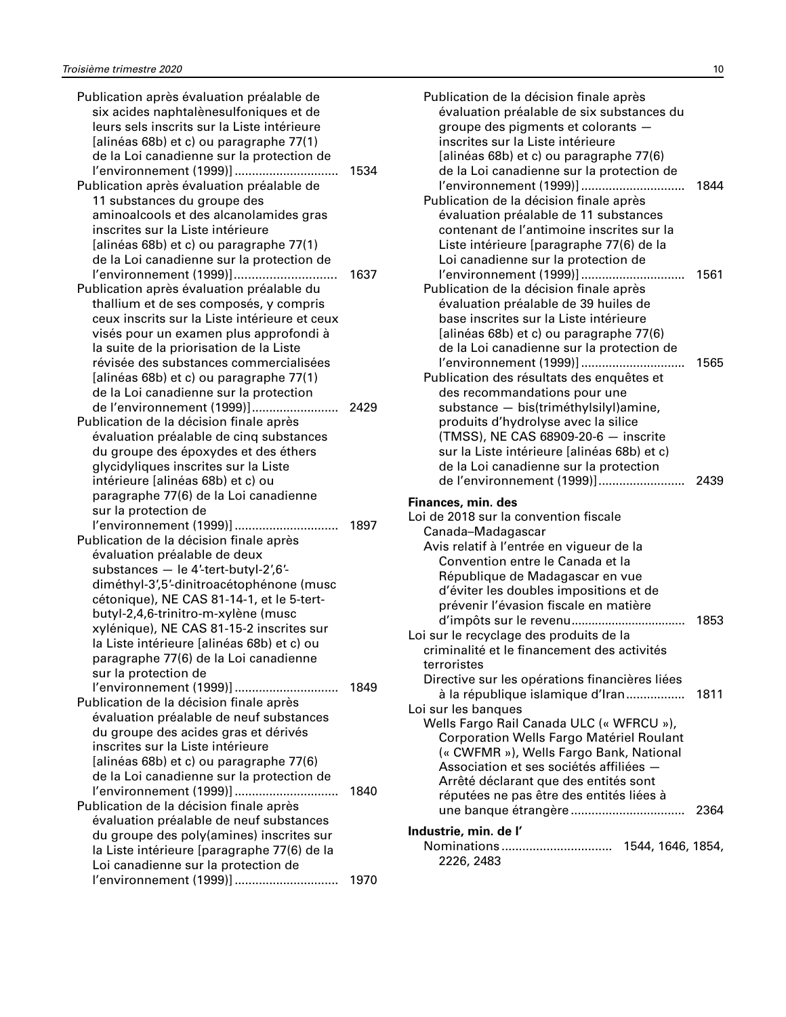| Publication après évaluation préalable de     |      |
|-----------------------------------------------|------|
| six acides naphtalènesulfoniques et de        |      |
| leurs sels inscrits sur la Liste intérieure   |      |
| [alinéas 68b) et c) ou paragraphe 77(1)       |      |
| de la Loi canadienne sur la protection de     |      |
| l'environnement (1999)]                       | 1534 |
| Publication après évaluation préalable de     |      |
| 11 substances du groupe des                   |      |
|                                               |      |
| aminoalcools et des alcanolamides gras        |      |
| inscrites sur la Liste intérieure             |      |
| [alinéas 68b) et c) ou paragraphe 77(1)       |      |
| de la Loi canadienne sur la protection de     |      |
| l'environnement (1999)]                       | 1637 |
| Publication après évaluation préalable du     |      |
| thallium et de ses composés, y compris        |      |
| ceux inscrits sur la Liste intérieure et ceux |      |
| visés pour un examen plus approfondi à        |      |
| la suite de la priorisation de la Liste       |      |
| révisée des substances commercialisées        |      |
| [alinéas 68b) et c) ou paragraphe 77(1)       |      |
| de la Loi canadienne sur la protection        |      |
| de l'environnement (1999)]<br>.               | 2429 |
| Publication de la décision finale après       |      |
| évaluation préalable de cinq substances       |      |
| du groupe des époxydes et des éthers          |      |
| glycidyliques inscrites sur la Liste          |      |
| intérieure [alinéas 68b) et c) ou             |      |
| paragraphe 77(6) de la Loi canadienne         |      |
|                                               |      |
| sur la protection de                          |      |
| l'environnement (1999)]                       | 1897 |
| Publication de la décision finale après       |      |
| évaluation préalable de deux                  |      |
| substances - le 4'-tert-butyl-2',6'-          |      |
| diméthyl-3',5'-dinitroacétophénone (musc      |      |
| cétonique), NE CAS 81-14-1, et le 5-tert-     |      |
| butyl-2,4,6-trinitro-m-xylène (musc           |      |
| xylénique), NE CAS 81-15-2 inscrites sur      |      |
| la Liste intérieure [alinéas 68b) et c) ou    |      |
| paragraphe 77(6) de la Loi canadienne         |      |
| sur la protection de                          |      |
| l'environnement (1999)]                       | 1849 |
| Publication de la décision finale après       |      |
| évaluation préalable de neuf substances       |      |
| du groupe des acides gras et dérivés          |      |
| inscrites sur la Liste intérieure             |      |
| [alinéas 68b) et c) ou paragraphe 77(6)       |      |
| de la Loi canadienne sur la protection de     |      |
| l'environnement (1999)]                       | 1840 |
| Publication de la décision finale après       |      |
| évaluation préalable de neuf substances       |      |
| du groupe des poly(amines) inscrites sur      |      |
| la Liste intérieure [paragraphe 77(6) de la   |      |
| Loi canadienne sur la protection de           |      |
| l'environnement (1999)]                       | 1970 |
|                                               |      |

| Publication de la décision finale après<br>évaluation préalable de six substances du<br>groupe des pigments et colorants<br>inscrites sur la Liste intérieure<br>[alinéas 68b) et c) ou paragraphe 77(6)<br>de la Loi canadienne sur la protection de |      |
|-------------------------------------------------------------------------------------------------------------------------------------------------------------------------------------------------------------------------------------------------------|------|
| l'environnement (1999)]<br>Publication de la décision finale après                                                                                                                                                                                    | 1844 |
| évaluation préalable de 11 substances<br>contenant de l'antimoine inscrites sur la<br>Liste intérieure [paragraphe 77(6) de la                                                                                                                        |      |
| Loi canadienne sur la protection de                                                                                                                                                                                                                   |      |
| l'environnement (1999)]                                                                                                                                                                                                                               | 1561 |
| Publication de la décision finale après                                                                                                                                                                                                               |      |
| évaluation préalable de 39 huiles de                                                                                                                                                                                                                  |      |
| base inscrites sur la Liste intérieure<br>[alinéas 68b) et c) ou paragraphe 77(6)                                                                                                                                                                     |      |
| de la Loi canadienne sur la protection de                                                                                                                                                                                                             |      |
| l'environnement (1999)]                                                                                                                                                                                                                               | 1565 |
| Publication des résultats des enquêtes et                                                                                                                                                                                                             |      |
| des recommandations pour une                                                                                                                                                                                                                          |      |
| substance - bis(triméthylsilyl)amine,                                                                                                                                                                                                                 |      |
| produits d'hydrolyse avec la silice<br>(TMSS), NE CAS 68909-20-6 - inscrite                                                                                                                                                                           |      |
| sur la Liste intérieure [alinéas 68b) et c)                                                                                                                                                                                                           |      |
| de la Loi canadienne sur la protection                                                                                                                                                                                                                |      |
| de l'environnement (1999)]                                                                                                                                                                                                                            | 2439 |
| Finances, min. des                                                                                                                                                                                                                                    |      |
| Loi de 2018 sur la convention fiscale                                                                                                                                                                                                                 |      |
| Canada-Madagascar                                                                                                                                                                                                                                     |      |
| Avis relatif à l'entrée en vigueur de la                                                                                                                                                                                                              |      |
| Convention entre le Canada et la                                                                                                                                                                                                                      |      |
| République de Madagascar en vue                                                                                                                                                                                                                       |      |
| d'éviter les doubles impositions et de<br>prévenir l'évasion fiscale en matière                                                                                                                                                                       |      |
|                                                                                                                                                                                                                                                       | 1853 |
| Loi sur le recyclage des produits de la                                                                                                                                                                                                               |      |
| criminalité et le financement des activités                                                                                                                                                                                                           |      |
| terroristes                                                                                                                                                                                                                                           |      |
| Directive sur les opérations financières liées                                                                                                                                                                                                        |      |
| à la république islamique d'Iran                                                                                                                                                                                                                      | 1811 |
| Loi sur les banques                                                                                                                                                                                                                                   |      |
| Wells Fargo Rail Canada ULC (« WFRCU »),<br>Corporation Wells Fargo Matériel Roulant                                                                                                                                                                  |      |
| (« CWFMR »), Wells Fargo Bank, National                                                                                                                                                                                                               |      |
| Association et ses sociétés affiliées -                                                                                                                                                                                                               |      |
| Arrêté déclarant que des entités sont                                                                                                                                                                                                                 |      |
| réputées ne pas être des entités liées à                                                                                                                                                                                                              |      |
|                                                                                                                                                                                                                                                       | 2364 |
| Industrie, min. de l'                                                                                                                                                                                                                                 |      |
| Nominations 1544, 1646, 1854,                                                                                                                                                                                                                         |      |
| 2226, 2483                                                                                                                                                                                                                                            |      |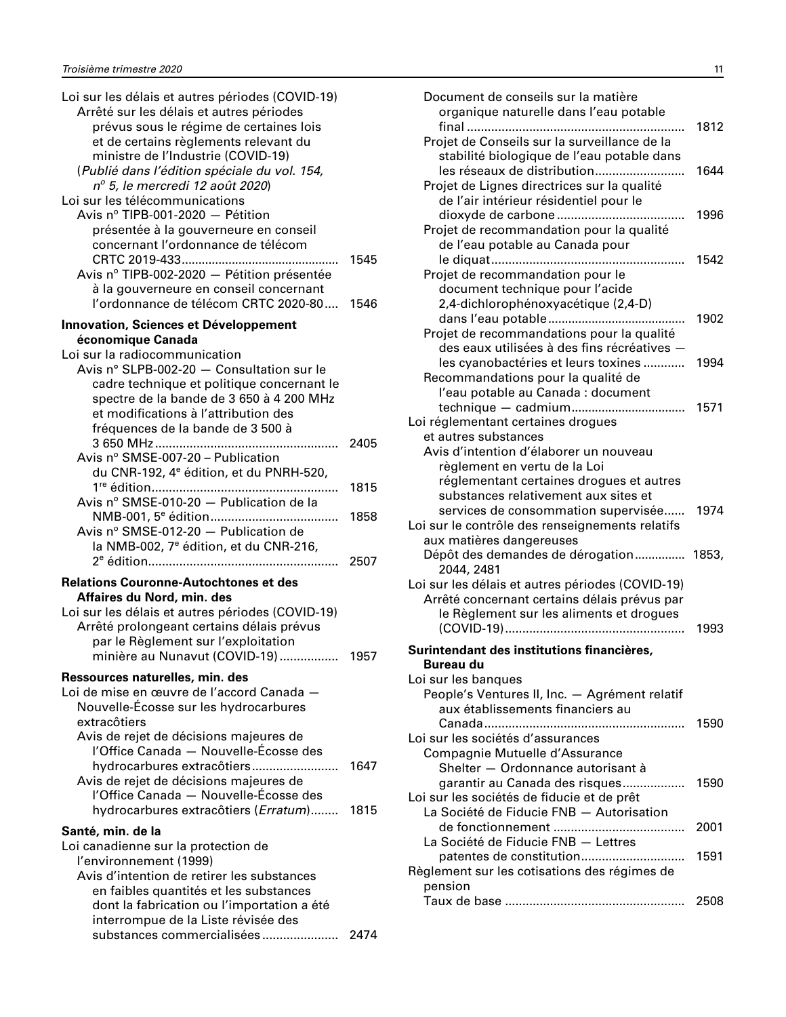| Loi sur les délais et autres périodes (COVID-19)    |      |
|-----------------------------------------------------|------|
| Arrêté sur les délais et autres périodes            |      |
| prévus sous le régime de certaines lois             |      |
| et de certains règlements relevant du               |      |
| ministre de l'Industrie (COVID-19)                  |      |
| (Publié dans l'édition spéciale du vol. 154,        |      |
| nº 5, le mercredi 12 août 2020)                     |      |
| Loi sur les télécommunications                      |      |
| Avis nº TIPB-001-2020 - Pétition                    |      |
| présentée à la gouverneure en conseil               |      |
| concernant l'ordonnance de télécom                  |      |
|                                                     | 1545 |
| Avis nº TIPB-002-2020 - Pétition présentée          |      |
| à la gouverneure en conseil concernant              |      |
| l'ordonnance de télécom CRTC 2020-80 1546           |      |
| <b>Innovation, Sciences et Développement</b>        |      |
| économique Canada                                   |      |
| Loi sur la radiocommunication                       |      |
| Avis nº SLPB-002-20 - Consultation sur le           |      |
| cadre technique et politique concernant le          |      |
| spectre de la bande de 3 650 à 4 200 MHz            |      |
| et modifications à l'attribution des                |      |
|                                                     |      |
| fréquences de la bande de 3 500 à                   | 2405 |
| Avis nº SMSE-007-20 - Publication                   |      |
|                                                     |      |
| du CNR-192, 4 <sup>e</sup> édition, et du PNRH-520, |      |
| Avis nº SMSE-010-20 - Publication de la             | 1815 |
|                                                     |      |
|                                                     | 1858 |
| Avis $n^{\circ}$ SMSE-012-20 $-$ Publication de     |      |
| la NMB-002, 7 <sup>e</sup> édition, et du CNR-216,  |      |
|                                                     | 2507 |
| <b>Relations Couronne-Autochtones et des</b>        |      |
| Affaires du Nord, min. des                          |      |
| Loi sur les délais et autres périodes (COVID-19)    |      |
| Arrêté prolongeant certains délais prévus           |      |
| par le Règlement sur l'exploitation                 |      |
| minière au Nunavut (COVID-19)  1957                 |      |
| Ressources naturelles, min. des                     |      |
| Loi de mise en œuvre de l'accord Canada -           |      |
| Nouvelle-Écosse sur les hydrocarbures               |      |
| extracôtiers                                        |      |
| Avis de rejet de décisions majeures de              |      |
| l'Office Canada - Nouvelle-Écosse des               |      |
| hydrocarbures extracôtiers                          | 1647 |
| Avis de rejet de décisions majeures de              |      |
| l'Office Canada - Nouvelle-Écosse des               |      |
| hydrocarbures extracôtiers (Erratum)                | 1815 |
|                                                     |      |
| Santé, min. de la                                   |      |
| Loi canadienne sur la protection de                 |      |
| l'environnement (1999)                              |      |
| Avis d'intention de retirer les substances          |      |
| en faibles quantités et les substances              |      |
| dont la fabrication ou l'importation a été          |      |
| interrompue de la Liste révisée des                 |      |
| substances commercialisées                          | 2474 |

| Document de conseils sur la matière<br>organique naturelle dans l'eau potable<br>.                                              | 1812 |
|---------------------------------------------------------------------------------------------------------------------------------|------|
| Projet de Conseils sur la surveillance de la<br>stabilité biologique de l'eau potable dans                                      |      |
| les réseaux de distribution<br>Projet de Lignes directrices sur la qualité<br>de l'air intérieur résidentiel pour le            | 1644 |
| Projet de recommandation pour la qualité<br>de l'eau potable au Canada pour                                                     | 1996 |
| Projet de recommandation pour le                                                                                                | 1542 |
| document technique pour l'acide<br>2,4-dichlorophénoxyacétique (2,4-D)                                                          | 1902 |
| Projet de recommandations pour la qualité<br>des eaux utilisées à des fins récréatives -<br>les cyanobactéries et leurs toxines | 1994 |
| Recommandations pour la qualité de<br>l'eau potable au Canada : document                                                        |      |
| Loi réglementant certaines drogues<br>et autres substances                                                                      | 1571 |
| Avis d'intention d'élaborer un nouveau<br>règlement en vertu de la Loi<br>réglementant certaines drogues et autres              |      |
| substances relativement aux sites et<br>services de consommation supervisée                                                     | 1974 |
| Loi sur le contrôle des renseignements relatifs<br>aux matières dangereuses<br>Dépôt des demandes de dérogation 1853,           |      |
| 2044, 2481<br>Loi sur les délais et autres périodes (COVID-19)<br>Arrêté concernant certains délais prévus par                  |      |
| le Règlement sur les aliments et drogues                                                                                        | 1993 |
| Surintendant des institutions financières,<br><b>Bureau du</b><br>Loi sur les banques                                           |      |
| People's Ventures II, Inc. - Agrément relatif<br>aux établissements financiers au                                               |      |
| Loi sur les sociétés d'assurances<br>Compagnie Mutuelle d'Assurance                                                             | 1590 |
| Shelter - Ordonnance autorisant à<br>garantir au Canada des risques<br>Loi sur les sociétés de fiducie et de prêt               | 1590 |
| La Société de Fiducie FNB - Autorisation                                                                                        | 2001 |
| La Société de Fiducie FNB - Lettres<br>Règlement sur les cotisations des régimes de                                             | 1591 |
| pension                                                                                                                         | 2508 |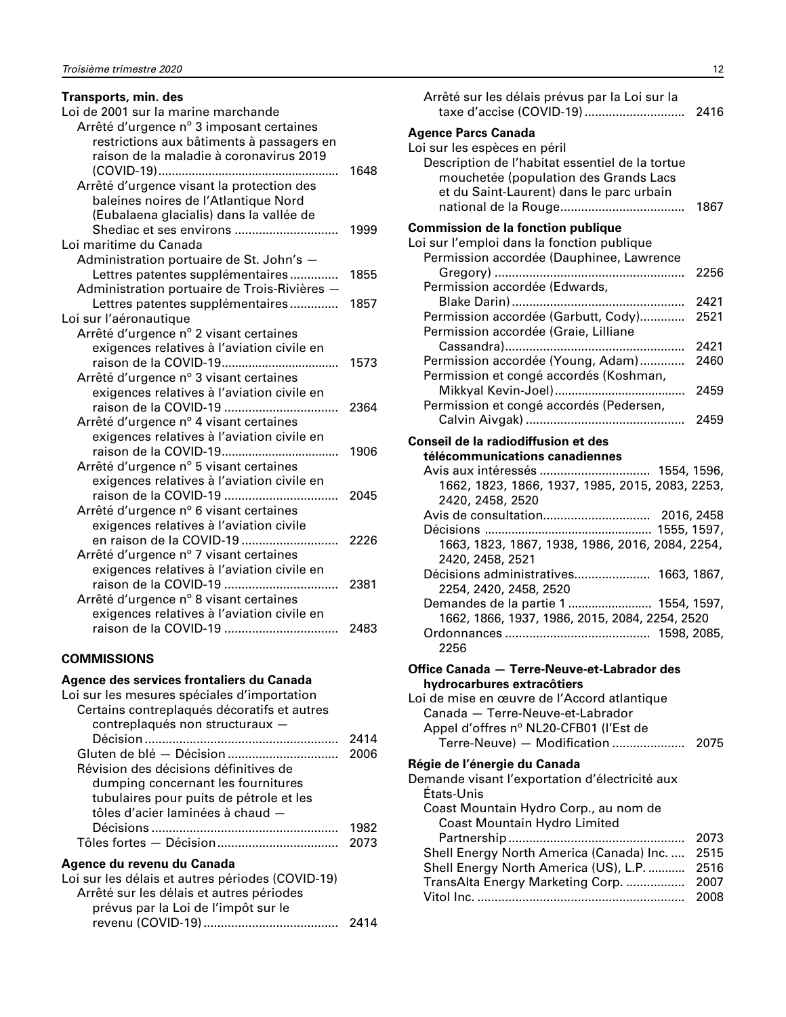#### <span id="page-13-0"></span>**Transports, min. des**

| Loi de 2001 sur la marine marchande                                 |      |
|---------------------------------------------------------------------|------|
| Arrêté d'urgence nº 3 imposant certaines                            |      |
| restrictions aux bâtiments à passagers en                           |      |
| raison de la maladie à coronavirus 2019                             |      |
|                                                                     | 1648 |
| Arrêté d'urgence visant la protection des                           |      |
| baleines noires de l'Atlantique Nord                                |      |
| (Eubalaena glacialis) dans la vallée de                             |      |
| Shediac et ses environs                                             | 1999 |
| Loi maritime du Canada                                              |      |
| Administration portuaire de St. John's -                            |      |
| Lettres patentes supplémentaires                                    | 1855 |
| Administration portuaire de Trois-Rivières -                        |      |
| Lettres patentes supplémentaires                                    | 1857 |
| Loi sur l'aéronautique                                              |      |
| Arrêté d'urgence nº 2 visant certaines                              |      |
| exigences relatives à l'aviation civile en                          |      |
|                                                                     | 1573 |
| Arrêté d'urgence nº 3 visant certaines                              |      |
| exigences relatives à l'aviation civile en                          |      |
| raison de la COVID-19                                               | 2364 |
| Arrêté d'urgence nº 4 visant certaines                              |      |
| exigences relatives à l'aviation civile en                          |      |
|                                                                     | 1906 |
| Arrêté d'urgence nº 5 visant certaines                              |      |
| exigences relatives à l'aviation civile en<br>raison de la COVID-19 |      |
| Arrêté d'urgence nº 6 visant certaines                              | 2045 |
| exigences relatives à l'aviation civile                             |      |
| en raison de la COVID-19<br>.                                       | 2226 |
| Arrêté d'urgence nº 7 visant certaines                              |      |
| exigences relatives à l'aviation civile en                          |      |
| raison de la COVID-19                                               | 2381 |
| Arrêté d'urgence nº 8 visant certaines                              |      |
| exigences relatives à l'aviation civile en                          |      |
| raison de la COVID-19                                               | 2483 |
|                                                                     |      |

#### **COMMISSIONS**

## **Agence des services frontaliers du Canada**

| Loi sur les mesures spéciales d'importation |      |
|---------------------------------------------|------|
| Certains contreplaqués décoratifs et autres |      |
| contreplaqués non structuraux -             |      |
|                                             | 2414 |
|                                             | 2006 |
| Révision des décisions définitives de       |      |
| dumping concernant les fournitures          |      |
| tubulaires pour puits de pétrole et les     |      |
| tôles d'acier laminées à chaud -            |      |
|                                             | 1982 |
|                                             |      |
|                                             |      |

# **Agence du revenu du Canada**

| Loi sur les délais et autres périodes (COVID-19) |  |
|--------------------------------------------------|--|
| Arrêté sur les délais et autres périodes         |  |
| prévus par la Loi de l'impôt sur le              |  |
|                                                  |  |
|                                                  |  |

| Arrêté sur les délais prévus par la Loi sur la                                                                                                                                                                                        |                      |
|---------------------------------------------------------------------------------------------------------------------------------------------------------------------------------------------------------------------------------------|----------------------|
| <b>Agence Parcs Canada</b><br>Loi sur les espèces en péril<br>Description de l'habitat essentiel de la tortue<br>mouchetée (population des Grands Lacs<br>et du Saint-Laurent) dans le parc urbain                                    | 1867                 |
| <b>Commission de la fonction publique</b><br>Loi sur l'emploi dans la fonction publique<br>Permission accordée (Dauphinee, Lawrence                                                                                                   | 2256                 |
| Permission accordée (Edwards,                                                                                                                                                                                                         |                      |
| Permission accordée (Garbutt, Cody)<br>Permission accordée (Graie, Lilliane                                                                                                                                                           | 2421<br>2521         |
|                                                                                                                                                                                                                                       | 2421                 |
| Permission accordée (Young, Adam)<br>Permission et congé accordés (Koshman,                                                                                                                                                           | 2460                 |
| Permission et congé accordés (Pedersen,                                                                                                                                                                                               | 2459<br>2459         |
|                                                                                                                                                                                                                                       |                      |
| Conseil de la radiodiffusion et des<br>télécommunications canadiennes                                                                                                                                                                 |                      |
| Avis aux intéressés  1554, 1596,<br>1662, 1823, 1866, 1937, 1985, 2015, 2083, 2253,<br>2420, 2458, 2520                                                                                                                               |                      |
| 1663, 1823, 1867, 1938, 1986, 2016, 2084, 2254,<br>2420, 2458, 2521                                                                                                                                                                   |                      |
| Décisions administratives 1663, 1867,<br>2254, 2420, 2458, 2520                                                                                                                                                                       |                      |
| Demandes de la partie 1  1554, 1597,<br>1662, 1866, 1937, 1986, 2015, 2084, 2254, 2520                                                                                                                                                |                      |
| 2256                                                                                                                                                                                                                                  |                      |
| Office Canada - Terre-Neuve-et-Labrador des<br>hydrocarbures extracôtiers<br>Loi de mise en œuvre de l'Accord atlantique<br>Canada - Terre-Neuve-et-Labrador<br>Appel d'offres nº NL20-CFB01 (l'Est de<br>Terre-Neuve) - Modification | 2075                 |
| Régie de l'énergie du Canada<br>Demande visant l'exportation d'électricité aux<br>États-Unis<br>Coast Mountain Hydro Corp., au nom de                                                                                                 |                      |
| Coast Mountain Hydro Limited                                                                                                                                                                                                          | 2073                 |
| Shell Energy North America (Canada) Inc.<br>Shell Energy North America (US), L.P.<br>TransAlta Energy Marketing Corp.                                                                                                                 | 2515<br>2516<br>2007 |

Vitol Inc. ............................................................ 2008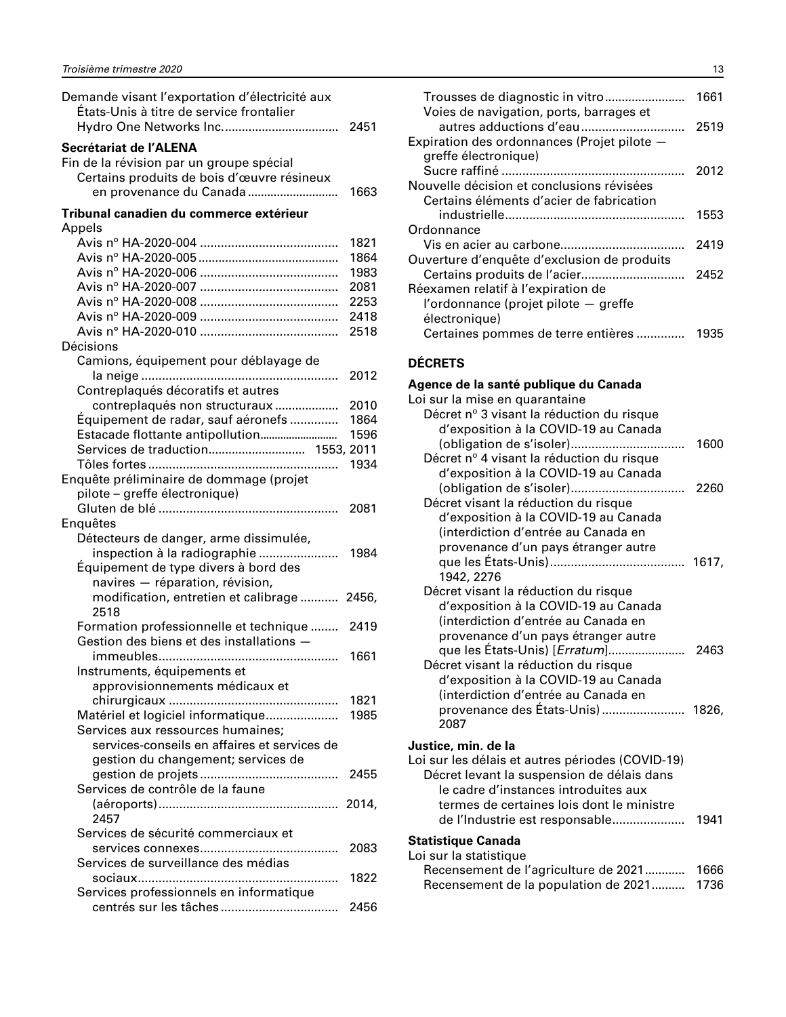<span id="page-14-0"></span>

| Demande visant l'exportation d'électricité aux<br>États-Unis à titre de service frontalier | 2451  |
|--------------------------------------------------------------------------------------------|-------|
| Secrétariat de l'ALENA                                                                     |       |
| Fin de la révision par un groupe spécial                                                   |       |
| Certains produits de bois d'œuvre résineux                                                 |       |
| en provenance du Canada                                                                    | 1663  |
|                                                                                            |       |
| Tribunal canadien du commerce extérieur                                                    |       |
| Appels                                                                                     |       |
|                                                                                            | 1821  |
|                                                                                            | 1864  |
|                                                                                            | 1983  |
|                                                                                            | 2081  |
|                                                                                            | 2253  |
|                                                                                            | 2418  |
|                                                                                            | 2518  |
| Décisions                                                                                  |       |
| Camions, équipement pour déblayage de                                                      |       |
|                                                                                            | 2012  |
| Contreplaqués décoratifs et autres                                                         |       |
| contreplaqués non structuraux                                                              | 2010  |
| Équipement de radar, sauf aéronefs                                                         | 1864  |
| Estacade flottante antipollution                                                           | 1596  |
| Services de traduction 1553, 2011                                                          |       |
|                                                                                            | 1934  |
| Enquête préliminaire de dommage (projet                                                    |       |
| pilote - greffe électronique)                                                              |       |
|                                                                                            | 2081  |
| Enquêtes                                                                                   |       |
|                                                                                            |       |
| Détecteurs de danger, arme dissimulée,                                                     | 1984  |
| inspection à la radiographie                                                               |       |
| Équipement de type divers à bord des                                                       |       |
| navires - réparation, révision,                                                            |       |
| modification, entretien et calibrage<br>2518                                               | 2456, |
| Formation professionnelle et technique                                                     | 2419  |
| Gestion des biens et des installations -                                                   |       |
|                                                                                            | 1661  |
| Instruments, équipements et                                                                |       |
| approvisionnements médicaux et                                                             |       |
|                                                                                            | 1821  |
| Matériel et logiciel informatique                                                          | 1985  |
| Services aux ressources humaines;                                                          |       |
| services-conseils en affaires et services de                                               |       |
| gestion du changement; services de                                                         |       |
|                                                                                            | 2455  |
| Services de contrôle de la faune                                                           |       |
|                                                                                            | 2014, |
| 2457                                                                                       |       |
| Services de sécurité commerciaux et                                                        |       |
|                                                                                            | 2083  |
| Services de surveillance des médias                                                        |       |
|                                                                                            | 1822  |
| Services professionnels en informatique                                                    |       |
|                                                                                            | 2456  |
|                                                                                            |       |

| Voies de navigation, ports, barrages et     | 1661 |
|---------------------------------------------|------|
|                                             | 2519 |
| Expiration des ordonnances (Projet pilote - |      |
| greffe électronique)                        |      |
|                                             | 2012 |
| Nouvelle décision et conclusions révisées   |      |
| Certains éléments d'acier de fabrication    |      |
|                                             | 1553 |
| Ordonnance                                  |      |
|                                             | 2419 |
| Ouverture d'enquête d'exclusion de produits |      |
|                                             | 2452 |
| Réexamen relatif à l'expiration de          |      |
| l'ordonnance (projet pilote - greffe        |      |
| électronique)                               |      |
| Certaines pommes de terre entières          | 1935 |

# **DÉCRETS**

| Agence de la santé publique du Canada            |      |
|--------------------------------------------------|------|
| Loi sur la mise en quarantaine                   |      |
| Décret nº 3 visant la réduction du risque        |      |
| d'exposition à la COVID-19 au Canada             |      |
|                                                  | 1600 |
| Décret nº 4 visant la réduction du risque        |      |
| d'exposition à la COVID-19 au Canada             |      |
|                                                  | 2260 |
| Décret visant la réduction du risque             |      |
| d'exposition à la COVID-19 au Canada             |      |
| (interdiction d'entrée au Canada en              |      |
| provenance d'un pays étranger autre              |      |
|                                                  |      |
| 1942, 2276                                       |      |
| Décret visant la réduction du risque             |      |
| d'exposition à la COVID-19 au Canada             |      |
| (interdiction d'entrée au Canada en              |      |
| provenance d'un pays étranger autre              |      |
| que les États-Unis) [ <i>Erratum</i> ]           | 2463 |
| Décret visant la réduction du risque             |      |
| d'exposition à la COVID-19 au Canada             |      |
| (interdiction d'entrée au Canada en              |      |
| provenance des États-Unis)  1826,                |      |
| 2087                                             |      |
| Justice <i>,</i> min. de la                      |      |
| Loi sur les délais et autres périodes (COVID-19) |      |
| Décret levant la suspension de délais dans       |      |
| le cadre d'instances introduites aux             |      |
| termes de certaines lois dont le ministre        |      |
| de l'Industrie est responsable                   | 1941 |
| <b>Contract Contract Contract</b>                |      |

#### **Statistique Canada**

| Loi sur la statistique                    |  |
|-------------------------------------------|--|
|                                           |  |
| Recensement de la population de 2021 1736 |  |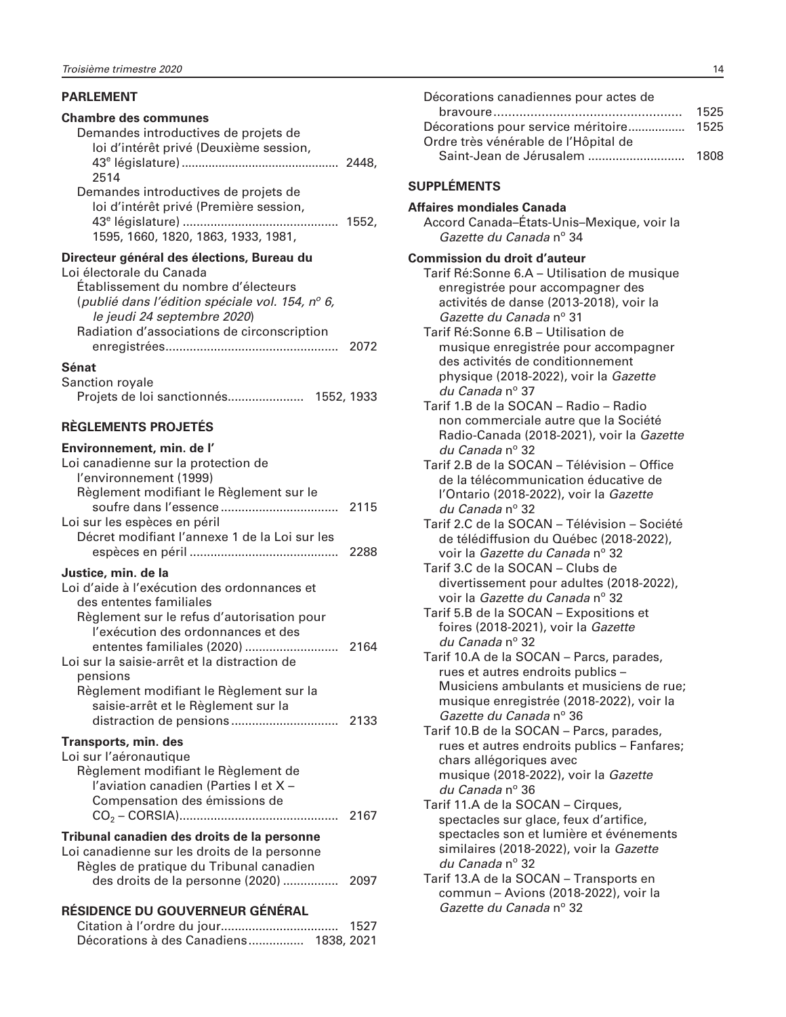#### <span id="page-15-0"></span>**PARLEMENT**

#### **Chambre des communes**

| Demandes introductives de projets de   |       |
|----------------------------------------|-------|
| loi d'intérêt privé (Deuxième session, |       |
|                                        | 2448. |
| 2514                                   |       |
| Demandes introductives de projets de   |       |
| loi d'intérêt privé (Première session, |       |
|                                        | 1552. |
| 1595, 1660, 1820, 1863, 1933, 1981,    |       |
|                                        |       |

#### **Directeur général des élections, Bureau du**

| Loi électorale du Canada                        |      |
|-------------------------------------------------|------|
| Établissement du nombre d'électeurs             |      |
| (publié dans l'édition spéciale vol. 154, nº 6, |      |
| le jeudi 24 septembre 2020)                     |      |
| Radiation d'associations de circonscription     |      |
|                                                 | 2072 |
| $\sim$ $\sim$ $\sim$ $\sim$ $\sim$ $\sim$       |      |

#### **Sénat**

| Sanction royale |            |
|-----------------|------------|
|                 | 1552, 1933 |

## **RÈGLEMENTS PROJETÉS**

| Environnement, min. de l'                                                      |      |
|--------------------------------------------------------------------------------|------|
| Loi canadienne sur la protection de                                            |      |
| l'environnement (1999)                                                         |      |
| Règlement modifiant le Règlement sur le                                        |      |
| Loi sur les espèces en péril                                                   |      |
| Décret modifiant l'annexe 1 de la Loi sur les                                  |      |
|                                                                                | 2288 |
| Justice, min. de la                                                            |      |
| Loi d'aide à l'exécution des ordonnances et<br>des ententes familiales         |      |
| Règlement sur le refus d'autorisation pour                                     |      |
| l'exécution des ordonnances et des                                             |      |
|                                                                                |      |
| Loi sur la saisie-arrêt et la distraction de                                   |      |
| pensions                                                                       |      |
| Règlement modifiant le Règlement sur la<br>saisie-arrêt et le Règlement sur la |      |
|                                                                                |      |
|                                                                                |      |
| <b>Transports, min. des</b><br>Loi sur l'aéronautique                          |      |
| Règlement modifiant le Règlement de                                            |      |
| l'aviation canadien (Parties I et X -                                          |      |
| Compensation des émissions de                                                  |      |
|                                                                                |      |
| Tribunal canadien des droits de la personne                                    |      |
| Loi canadienne sur les droits de la personne                                   |      |
| Règles de pratique du Tribunal canadien                                        |      |
| des droits de la personne (2020)                                               | 2097 |
|                                                                                |      |

#### **RÉSIDENCE DU GOUVERNEUR GÉNÉRAL**

|                             |            | 1527 |
|-----------------------------|------------|------|
| Décorations à des Canadiens | 1838, 2021 |      |

| Décorations canadiennes pour actes de   |      |
|-----------------------------------------|------|
|                                         | 1525 |
| Décorations pour service méritoire 1525 |      |
| Ordre très vénérable de l'Hôpital de    |      |
| Saint-Jean de Jérusalem                 | 1808 |
|                                         |      |

#### **SUPPLÉMENTS**

#### **Affaires mondiales Canada** Accord Canada–États-Unis–Mexique, voir la Gazette du Canada nº 34 **Commission du droit d'auteur** Tarif Ré:Sonne 6.A – Utilisation de musique enregistrée pour accompagner des activités de danse (2013-2018), voir la Gazette du Canada nº 31 Tarif Ré:Sonne 6.B – Utilisation de musique enregistrée pour accompagner des activités de conditionnement physique (2018-2022), voir la *Gazette*  du Canada nº 37 Tarif 1.B de la SOCAN – Radio – Radio non commerciale autre que la Société Radio-Canada (2018-2021), voir la *Gazette*  du Canada nº 32 Tarif 2.B de la SOCAN – Télévision – Office de la télécommunication éducative de l'Ontario (2018-2022), voir la *Gazette*  du Canada nº 32 Tarif 2.C de la SOCAN – Télévision – Société de télédiffusion du Québec (2018-2022), voir la *Gazette du Canada* nº 32 Tarif 3.C de la SOCAN – Clubs de divertissement pour adultes (2018-2022), voir la *Gazette du Canada* nº 32 Tarif 5.B de la SOCAN – Expositions et foires (2018-2021), voir la *Gazette*  du Canada nº 32 Tarif 10.A de la SOCAN – Parcs, parades, rues et autres endroits publics – Musiciens ambulants et musiciens de rue; musique enregistrée (2018-2022), voir la Gazette du Canada nº 36 Tarif 10.B de la SOCAN – Parcs, parades,

- rues et autres endroits publics Fanfares; chars allégoriques avec musique (2018-2022), voir la *Gazette*  du Canada nº 36
- Tarif 11.A de la SOCAN Cirques, spectacles sur glace, feux d'artifice, spectacles son et lumière et événements similaires (2018-2022), voir la *Gazette*  du Canada nº 32
- Tarif 13.A de la SOCAN Transports en commun – Avions (2018-2022), voir la Gazette du Canada nº 32